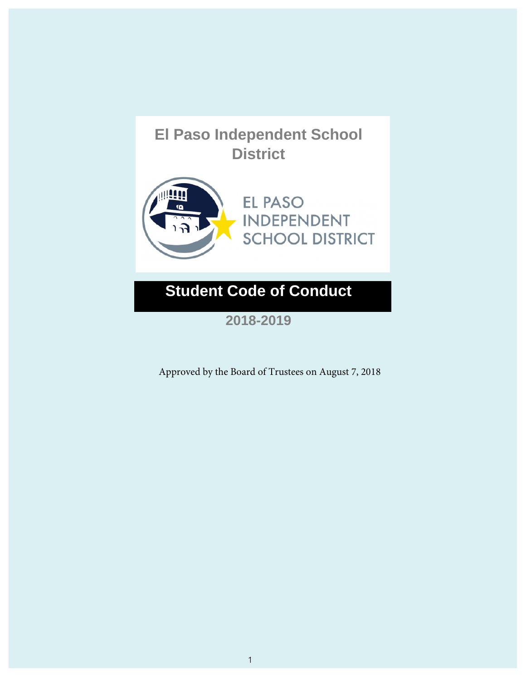

**2018-2019**

Approved by the Board of Trustees on August 7, 2018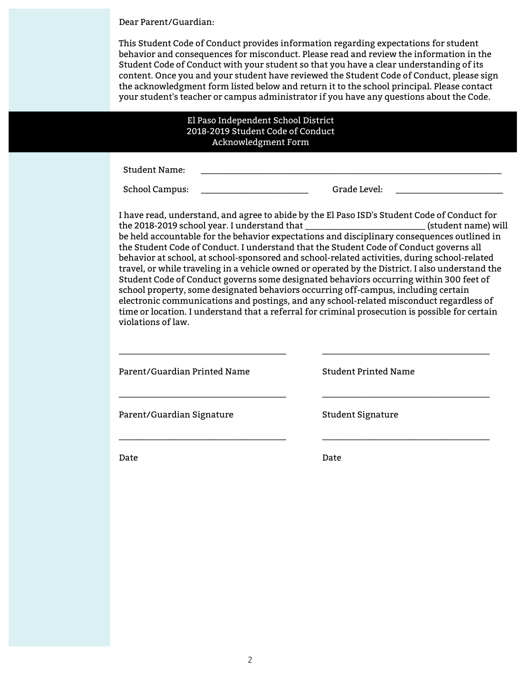Dear Parent/Guardian:

This Student Code of Conduct provides information regarding expectations for student behavior and consequences for misconduct. Please read and review the information in the Student Code of Conduct with your student so that you have a clear understanding of its content. Once you and your student have reviewed the Student Code of Conduct, please sign the acknowledgment form listed below and return it to the school principal. Please contact your student's teacher or campus administrator if you have any questions about the Code.

#### El Paso Independent School District 2018-2019 Student Code of Conduct Acknowledgment Form

Student Name:

School Campus: \_\_\_\_\_\_\_\_\_\_\_\_\_\_\_\_\_\_\_\_\_\_\_\_\_ Grade Level: \_\_\_\_\_\_\_\_\_\_\_\_\_\_\_\_\_\_\_\_\_\_\_\_\_

I have read, understand, and agree to abide by the El Paso ISD's Student Code of Conduct for the 2018-2019 school year. I understand that \_\_\_\_\_\_\_\_\_\_\_\_\_\_\_\_\_\_\_\_\_\_\_\_\_\_\_\_ (student name) will be held accountable for the behavior expectations and disciplinary consequences outlined in the Student Code of Conduct. I understand that the Student Code of Conduct governs all behavior at school, at school-sponsored and school-related activities, during school-related travel, or while traveling in a vehicle owned or operated by the District. I also understand the Student Code of Conduct governs some designated behaviors occurring within 300 feet of school property, some designated behaviors occurring off-campus, including certain electronic communications and postings, and any school-related misconduct regardless of time or location. I understand that a referral for criminal prosecution is possible for certain violations of law.

Parent/Guardian Printed Name

\_\_\_\_\_\_\_\_\_\_\_\_\_\_\_\_\_\_\_\_\_\_\_\_\_\_\_\_\_\_\_\_\_\_\_\_\_\_\_

\_\_\_\_\_\_\_\_\_\_\_\_\_\_\_\_\_\_\_\_\_\_\_\_\_\_\_\_\_\_\_\_\_\_\_\_\_\_\_

\_\_\_\_\_\_\_\_\_\_\_\_\_\_\_\_\_\_\_\_\_\_\_\_\_\_\_\_\_\_\_\_\_\_\_\_\_\_\_

Student Printed Name

\_\_\_\_\_\_\_\_\_\_\_\_\_\_\_\_\_\_\_\_\_\_\_\_\_\_\_\_\_\_\_\_\_\_\_\_\_\_\_

\_\_\_\_\_\_\_\_\_\_\_\_\_\_\_\_\_\_\_\_\_\_\_\_\_\_\_\_\_\_\_\_\_\_\_\_\_\_\_

\_\_\_\_\_\_\_\_\_\_\_\_\_\_\_\_\_\_\_\_\_\_\_\_\_\_\_\_\_\_\_\_\_\_\_\_\_\_\_

Parent/Guardian Signature

Student Signature

Date

Date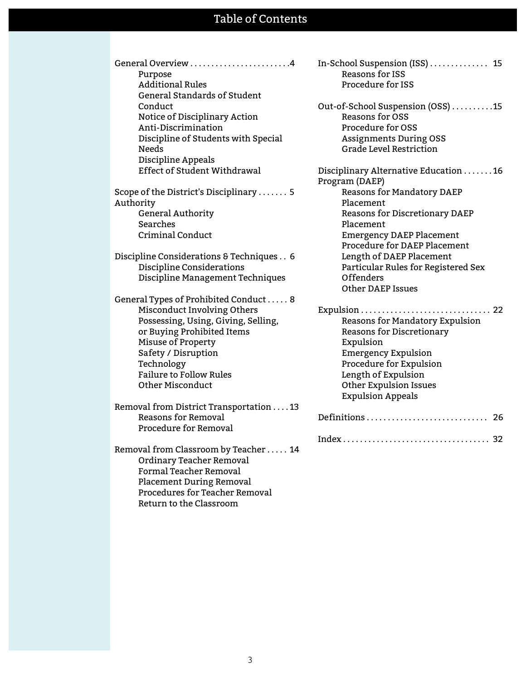# Table of Contents

General Overview . . . . . . . . . . . . . . . . . . . . . . . .4 Purpose Additional Rules General Standards of Student **Conduct** Notice of Disciplinary Action Anti-Discrimination Discipline of Students with Special Needs Discipline Appeals Effect of Student Withdrawal

Scope of the District's Disciplinary . . . . . . . 5 Authority General Authority Searches Criminal Conduct

Discipline Considerations & Techniques . . 6 Discipline Considerations Discipline Management Techniques

General Types of Prohibited Conduct . . . . . 8 Misconduct Involving Others Possessing, Using, Giving, Selling, or Buying Prohibited Items Misuse of Property Safety / Disruption Technology Failure to Follow Rules Other Misconduct

Removal from District Transportation . . . . 13 Reasons for Removal Procedure for Removal

Removal from Classroom by Teacher . . . . . 14 Ordinary Teacher Removal Formal Teacher Removal Placement During Removal Procedures for Teacher Removal Return to the Classroom

In-School Suspension (ISS) . . . . . . . . . . . . . . 15 Reasons for ISS Procedure for ISS

Out-of-School Suspension (OSS) . . . . . . . . . .15 Reasons for OSS Procedure for OSS Assignments During OSS Grade Level Restriction

Disciplinary Alternative Education . . . . . . . 16 Program (DAEP) Reasons for Mandatory DAEP Placement Reasons for Discretionary DAEP Placement Emergency DAEP Placement Procedure for DAEP Placement Length of DAEP Placement Particular Rules for Registered Sex Offenders Other DAEP Issues

Expulsion . . . . . . . . . . . . . . . . . . . . . . . . . . . . . . . 22 Reasons for Mandatory Expulsion Reasons for Discretionary Expulsion Emergency Expulsion Procedure for Expulsion Length of Expulsion Other Expulsion Issues Expulsion Appeals Definitions . . . . . . . . . . . . . . . . . . . . . . . . . . . . . 26

Index . . . . . . . . . . . . . . . . . . . . . . . . . . . . . . . . . . . 32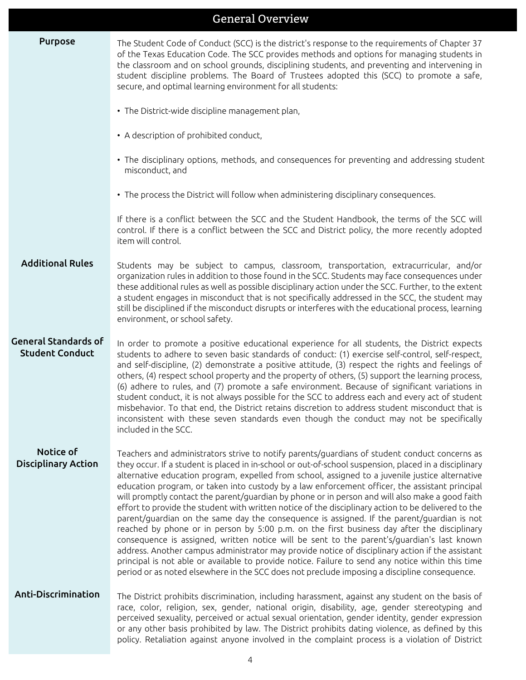|                                                       | <b>General Overview</b>                                                                                                                                                                                                                                                                                                                                                                                                                                                                                                                                                                                                                                                                                                                                                                                                                                                                                                                                                                                                                                                                                                                                                                                                   |
|-------------------------------------------------------|---------------------------------------------------------------------------------------------------------------------------------------------------------------------------------------------------------------------------------------------------------------------------------------------------------------------------------------------------------------------------------------------------------------------------------------------------------------------------------------------------------------------------------------------------------------------------------------------------------------------------------------------------------------------------------------------------------------------------------------------------------------------------------------------------------------------------------------------------------------------------------------------------------------------------------------------------------------------------------------------------------------------------------------------------------------------------------------------------------------------------------------------------------------------------------------------------------------------------|
| <b>Purpose</b>                                        | The Student Code of Conduct (SCC) is the district's response to the requirements of Chapter 37<br>of the Texas Education Code. The SCC provides methods and options for managing students in<br>the classroom and on school grounds, disciplining students, and preventing and intervening in<br>student discipline problems. The Board of Trustees adopted this (SCC) to promote a safe,<br>secure, and optimal learning environment for all students:                                                                                                                                                                                                                                                                                                                                                                                                                                                                                                                                                                                                                                                                                                                                                                   |
|                                                       | • The District-wide discipline management plan,                                                                                                                                                                                                                                                                                                                                                                                                                                                                                                                                                                                                                                                                                                                                                                                                                                                                                                                                                                                                                                                                                                                                                                           |
|                                                       | • A description of prohibited conduct,                                                                                                                                                                                                                                                                                                                                                                                                                                                                                                                                                                                                                                                                                                                                                                                                                                                                                                                                                                                                                                                                                                                                                                                    |
|                                                       | • The disciplinary options, methods, and consequences for preventing and addressing student<br>misconduct, and                                                                                                                                                                                                                                                                                                                                                                                                                                                                                                                                                                                                                                                                                                                                                                                                                                                                                                                                                                                                                                                                                                            |
|                                                       | • The process the District will follow when administering disciplinary consequences.                                                                                                                                                                                                                                                                                                                                                                                                                                                                                                                                                                                                                                                                                                                                                                                                                                                                                                                                                                                                                                                                                                                                      |
|                                                       | If there is a conflict between the SCC and the Student Handbook, the terms of the SCC will<br>control. If there is a conflict between the SCC and District policy, the more recently adopted<br>item will control.                                                                                                                                                                                                                                                                                                                                                                                                                                                                                                                                                                                                                                                                                                                                                                                                                                                                                                                                                                                                        |
| <b>Additional Rules</b>                               | Students may be subject to campus, classroom, transportation, extracurricular, and/or<br>organization rules in addition to those found in the SCC. Students may face consequences under<br>these additional rules as well as possible disciplinary action under the SCC. Further, to the extent<br>a student engages in misconduct that is not specifically addressed in the SCC, the student may<br>still be disciplined if the misconduct disrupts or interferes with the educational process, learning<br>environment, or school safety.                                                                                                                                                                                                                                                                                                                                                                                                                                                                                                                                                                                                                                                                               |
| <b>General Standards of</b><br><b>Student Conduct</b> | In order to promote a positive educational experience for all students, the District expects<br>students to adhere to seven basic standards of conduct: (1) exercise self-control, self-respect,<br>and self-discipline, (2) demonstrate a positive attitude, (3) respect the rights and feelings of<br>others, (4) respect school property and the property of others, (5) support the learning process,<br>(6) adhere to rules, and (7) promote a safe environment. Because of significant variations in<br>student conduct, it is not always possible for the SCC to address each and every act of student<br>misbehavior. To that end, the District retains discretion to address student misconduct that is<br>inconsistent with these seven standards even though the conduct may not be specifically<br>included in the SCC.                                                                                                                                                                                                                                                                                                                                                                                       |
| Notice of<br><b>Disciplinary Action</b>               | Teachers and administrators strive to notify parents/guardians of student conduct concerns as<br>they occur. If a student is placed in in-school or out-of-school suspension, placed in a disciplinary<br>alternative education program, expelled from school, assigned to a juvenile justice alternative<br>education program, or taken into custody by a law enforcement officer, the assistant principal<br>will promptly contact the parent/guardian by phone or in person and will also make a good faith<br>effort to provide the student with written notice of the disciplinary action to be delivered to the<br>parent/guardian on the same day the consequence is assigned. If the parent/guardian is not<br>reached by phone or in person by 5:00 p.m. on the first business day after the disciplinary<br>consequence is assigned, written notice will be sent to the parent's/guardian's last known<br>address. Another campus administrator may provide notice of disciplinary action if the assistant<br>principal is not able or available to provide notice. Failure to send any notice within this time<br>period or as noted elsewhere in the SCC does not preclude imposing a discipline consequence. |
| Anti-Discrimination                                   | The District prohibits discrimination, including harassment, against any student on the basis of<br>race, color, religion, sex, gender, national origin, disability, age, gender stereotyping and<br>perceived sexuality, perceived or actual sexual orientation, gender identity, gender expression<br>or any other basis prohibited by law. The District prohibits dating violence, as defined by this<br>policy. Retaliation against anyone involved in the complaint process is a violation of District                                                                                                                                                                                                                                                                                                                                                                                                                                                                                                                                                                                                                                                                                                               |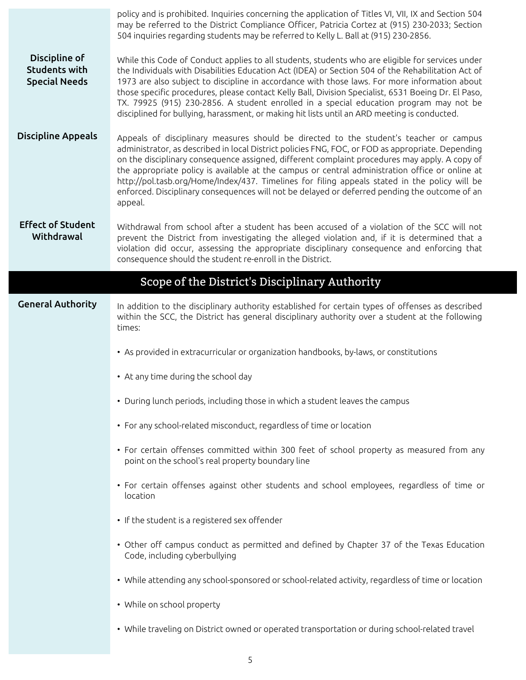|                                                               | policy and is prohibited. Inquiries concerning the application of Titles VI, VII, IX and Section 504<br>may be referred to the District Compliance Officer, Patricia Cortez at (915) 230-2033; Section<br>504 inquiries regarding students may be referred to Kelly L. Ball at (915) 230-2856.                                                                                                                                                                                                                                                                                                               |
|---------------------------------------------------------------|--------------------------------------------------------------------------------------------------------------------------------------------------------------------------------------------------------------------------------------------------------------------------------------------------------------------------------------------------------------------------------------------------------------------------------------------------------------------------------------------------------------------------------------------------------------------------------------------------------------|
| Discipline of<br><b>Students with</b><br><b>Special Needs</b> | While this Code of Conduct applies to all students, students who are eligible for services under<br>the Individuals with Disabilities Education Act (IDEA) or Section 504 of the Rehabilitation Act of<br>1973 are also subject to discipline in accordance with those laws. For more information about<br>those specific procedures, please contact Kelly Ball, Division Specialist, 6531 Boeing Dr. El Paso,<br>TX. 79925 (915) 230-2856. A student enrolled in a special education program may not be<br>disciplined for bullying, harassment, or making hit lists until an ARD meeting is conducted.     |
| <b>Discipline Appeals</b>                                     | Appeals of disciplinary measures should be directed to the student's teacher or campus<br>administrator, as described in local District policies FNG, FOC, or FOD as appropriate. Depending<br>on the disciplinary consequence assigned, different complaint procedures may apply. A copy of<br>the appropriate policy is available at the campus or central administration office or online at<br>http://pol.tasb.org/Home/Index/437. Timelines for filing appeals stated in the policy will be<br>enforced. Disciplinary consequences will not be delayed or deferred pending the outcome of an<br>appeal. |
| <b>Effect of Student</b><br>Withdrawal                        | Withdrawal from school after a student has been accused of a violation of the SCC will not<br>prevent the District from investigating the alleged violation and, if it is determined that a<br>violation did occur, assessing the appropriate disciplinary consequence and enforcing that<br>consequence should the student re-enroll in the District.                                                                                                                                                                                                                                                       |
|                                                               | Scope of the District's Disciplinary Authority                                                                                                                                                                                                                                                                                                                                                                                                                                                                                                                                                               |
| <b>General Authority</b>                                      | In addition to the disciplinary authority established for certain types of offenses as described<br>within the SCC, the District has general disciplinary authority over a student at the following                                                                                                                                                                                                                                                                                                                                                                                                          |
|                                                               | times:                                                                                                                                                                                                                                                                                                                                                                                                                                                                                                                                                                                                       |
|                                                               | • As provided in extracurricular or organization handbooks, by-laws, or constitutions                                                                                                                                                                                                                                                                                                                                                                                                                                                                                                                        |
|                                                               | • At any time during the school day                                                                                                                                                                                                                                                                                                                                                                                                                                                                                                                                                                          |
|                                                               | • During lunch periods, including those in which a student leaves the campus                                                                                                                                                                                                                                                                                                                                                                                                                                                                                                                                 |
|                                                               | • For any school-related misconduct, regardless of time or location                                                                                                                                                                                                                                                                                                                                                                                                                                                                                                                                          |
|                                                               | • For certain offenses committed within 300 feet of school property as measured from any<br>point on the school's real property boundary line                                                                                                                                                                                                                                                                                                                                                                                                                                                                |
|                                                               | • For certain offenses against other students and school employees, regardless of time or<br>location                                                                                                                                                                                                                                                                                                                                                                                                                                                                                                        |
|                                                               | • If the student is a registered sex offender                                                                                                                                                                                                                                                                                                                                                                                                                                                                                                                                                                |
|                                                               | • Other off campus conduct as permitted and defined by Chapter 37 of the Texas Education<br>Code, including cyberbullying                                                                                                                                                                                                                                                                                                                                                                                                                                                                                    |
|                                                               | • While attending any school-sponsored or school-related activity, regardless of time or location                                                                                                                                                                                                                                                                                                                                                                                                                                                                                                            |
|                                                               | • While on school property                                                                                                                                                                                                                                                                                                                                                                                                                                                                                                                                                                                   |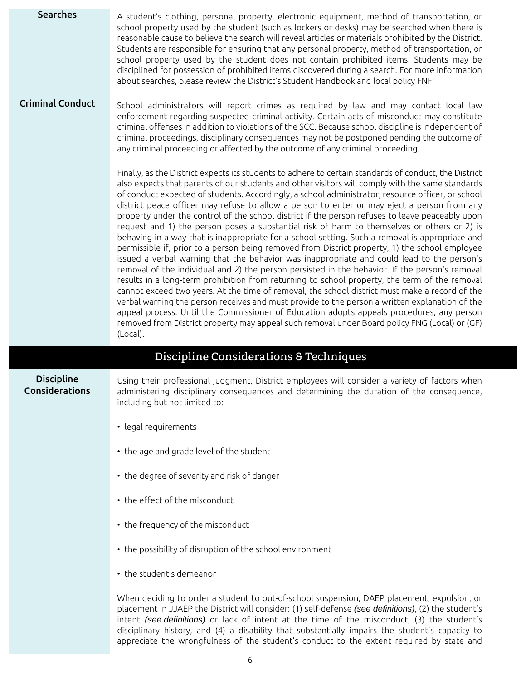| <b>Searches</b>                     | A student's clothing, personal property, electronic equipment, method of transportation, or<br>school property used by the student (such as lockers or desks) may be searched when there is<br>reasonable cause to believe the search will reveal articles or materials prohibited by the District.<br>Students are responsible for ensuring that any personal property, method of transportation, or<br>school property used by the student does not contain prohibited items. Students may be<br>disciplined for possession of prohibited items discovered during a search. For more information<br>about searches, please review the District's Student Handbook and local policy FNF.                                                                                                                                                                                                                                                                                                                                                                                                                                                                                                                                                                                                                                                                                                                                                                                                                                           |
|-------------------------------------|-------------------------------------------------------------------------------------------------------------------------------------------------------------------------------------------------------------------------------------------------------------------------------------------------------------------------------------------------------------------------------------------------------------------------------------------------------------------------------------------------------------------------------------------------------------------------------------------------------------------------------------------------------------------------------------------------------------------------------------------------------------------------------------------------------------------------------------------------------------------------------------------------------------------------------------------------------------------------------------------------------------------------------------------------------------------------------------------------------------------------------------------------------------------------------------------------------------------------------------------------------------------------------------------------------------------------------------------------------------------------------------------------------------------------------------------------------------------------------------------------------------------------------------|
| <b>Criminal Conduct</b>             | School administrators will report crimes as required by law and may contact local law<br>enforcement regarding suspected criminal activity. Certain acts of misconduct may constitute<br>criminal offenses in addition to violations of the SCC. Because school discipline is independent of<br>criminal proceedings, disciplinary consequences may not be postponed pending the outcome of<br>any criminal proceeding or affected by the outcome of any criminal proceeding.                                                                                                                                                                                                                                                                                                                                                                                                                                                                                                                                                                                                                                                                                                                                                                                                                                                                                                                                                                                                                                                       |
|                                     | Finally, as the District expects its students to adhere to certain standards of conduct, the District<br>also expects that parents of our students and other visitors will comply with the same standards<br>of conduct expected of students. Accordingly, a school administrator, resource officer, or school<br>district peace officer may refuse to allow a person to enter or may eject a person from any<br>property under the control of the school district if the person refuses to leave peaceably upon<br>request and 1) the person poses a substantial risk of harm to themselves or others or 2) is<br>behaving in a way that is inappropriate for a school setting. Such a removal is appropriate and<br>permissible if, prior to a person being removed from District property, 1) the school employee<br>issued a verbal warning that the behavior was inappropriate and could lead to the person's<br>removal of the individual and 2) the person persisted in the behavior. If the person's removal<br>results in a long-term prohibition from returning to school property, the term of the removal<br>cannot exceed two years. At the time of removal, the school district must make a record of the<br>verbal warning the person receives and must provide to the person a written explanation of the<br>appeal process. Until the Commissioner of Education adopts appeals procedures, any person<br>removed from District property may appeal such removal under Board policy FNG (Local) or (GF)<br>(Local). |
|                                     | Discipline Considerations & Techniques                                                                                                                                                                                                                                                                                                                                                                                                                                                                                                                                                                                                                                                                                                                                                                                                                                                                                                                                                                                                                                                                                                                                                                                                                                                                                                                                                                                                                                                                                              |
| <b>Discipline</b><br>Considerations | Using their professional judgment, District employees will consider a variety of factors when<br>administering disciplinary consequences and determining the duration of the consequence,<br>including but not limited to:                                                                                                                                                                                                                                                                                                                                                                                                                                                                                                                                                                                                                                                                                                                                                                                                                                                                                                                                                                                                                                                                                                                                                                                                                                                                                                          |

- legal requirements
- the age and grade level of the student
- the degree of severity and risk of danger
- the effect of the misconduct
- the frequency of the misconduct
- the possibility of disruption of the school environment
- the student's demeanor

When deciding to order a student to out-of-school suspension, DAEP placement, expulsion, or placement in JJAEP the District will consider: (1) self-defense (see definitions), (2) the student's intent (see definitions) or lack of intent at the time of the misconduct, (3) the student's disciplinary history, and (4) a disability that substantially impairs the student's capacity to appreciate the wrongfulness of the student's conduct to the extent required by state and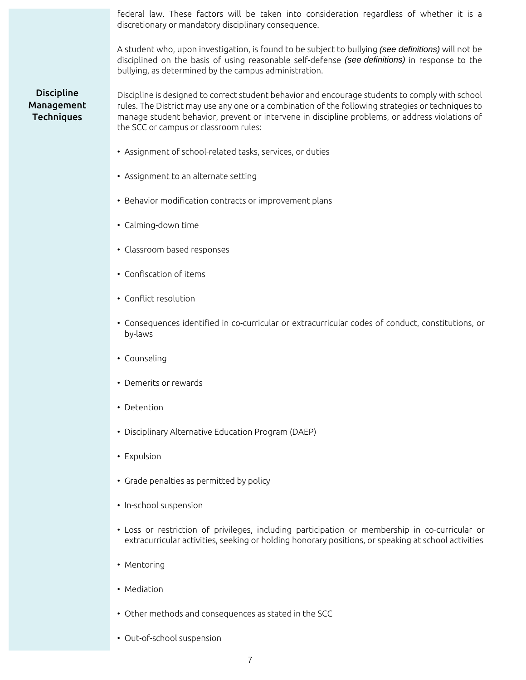federal law. These factors will be taken into consideration regardless of whether it is a discretionary or mandatory disciplinary consequence.

A student who, upon investigation, is found to be subject to bullying (see definitions) will not be disciplined on the basis of using reasonable self-defense (see definitions) in response to the bullying, as determined by the campus administration.

## Discipline Management Techniques

Discipline is designed to correct student behavior and encourage students to comply with school rules. The District may use any one or a combination of the following strategies or techniques to manage student behavior, prevent or intervene in discipline problems, or address violations of the SCC or campus or classroom rules:

- Assignment of school-related tasks, services, or duties
- Assignment to an alternate setting
- Behavior modification contracts or improvement plans
- Calming-down time
- Classroom based responses
- Confiscation of items
- Conflict resolution
- Consequences identified in co-curricular or extracurricular codes of conduct, constitutions, or by-laws
- Counseling
- Demerits or rewards
- Detention
- Disciplinary Alternative Education Program (DAEP)
- Expulsion
- Grade penalties as permitted by policy
- In-school suspension
- Loss or restriction of privileges, including participation or membership in co-curricular or extracurricular activities, seeking or holding honorary positions, or speaking at school activities
- Mentoring
- Mediation
- Other methods and consequences as stated in the SCC
- Out-of-school suspension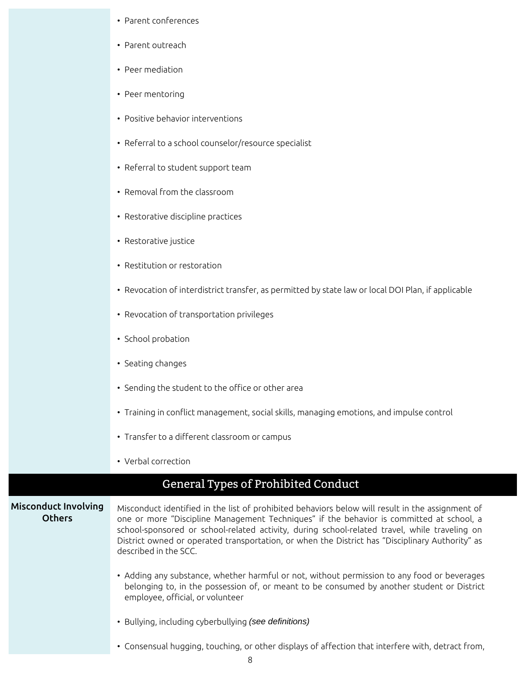- Parent conferences
- Parent outreach
- Peer mediation
- Peer mentoring
- Positive behavior interventions
- Referral to a school counselor/resource specialist
- Referral to student support team
- Removal from the classroom
- Restorative discipline practices
- Restorative justice
- Restitution or restoration
- Revocation of interdistrict transfer, as permitted by state law or local DOI Plan, if applicable
- Revocation of transportation privileges
- School probation
- Seating changes
- Sending the student to the office or other area
- Training in conflict management, social skills, managing emotions, and impulse control
- Transfer to a different classroom or campus
- Verbal correction

## General Types of Prohibited Conduct

#### Misconduct Involving **Others**

Misconduct identified in the list of prohibited behaviors below will result in the assignment of one or more "Discipline Management Techniques" if the behavior is committed at school, a school-sponsored or school-related activity, during school-related travel, while traveling on District owned or operated transportation, or when the District has "Disciplinary Authority" as described in the SCC.

- Adding any substance, whether harmful or not, without permission to any food or beverages belonging to, in the possession of, or meant to be consumed by another student or District employee, official, or volunteer
- Bullying, including cyberbullying (see definitions)
- Consensual hugging, touching, or other displays of affection that interfere with, detract from,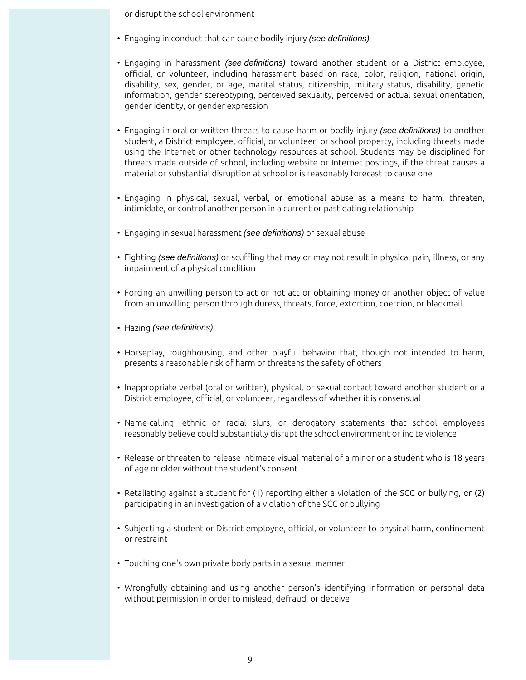or disrupt the school environment

- Engaging in conduct that can cause bodily injury (see definitions)
- Engaging in harassment (see definitions) toward another student or a District employee, official, or volunteer, including harassment based on race, color, religion, national origin, disability, sex, gender, or age, marital status, citizenship, military status, disability, genetic information, gender stereotyping, perceived sexuality, perceived or actual sexual orientation, gender identity, or gender expression
- Engaging in oral or written threats to cause harm or bodily injury (see definitions) to another student, a District employee, official, or volunteer, or school property, including threats made using the Internet or other technology resources at school. Students may be disciplined for threats made outside of school, including website or Internet postings, if the threat causes a material or substantial disruption at school or is reasonably forecast to cause one
- Engaging in physical, sexual, verbal, or emotional abuse as a means to harm, threaten, intimidate, or control another person in a current or past dating relationship
- Engaging in sexual harassment (see definitions) or sexual abuse
- Fighting (see definitions) or scuffling that may or may not result in physical pain, illness, or any impairment of a physical condition
- Forcing an unwilling person to act or not act or obtaining money or another object of value from an unwilling person through duress, threats, force, extortion, coercion, or blackmail
- Hazing (see definitions)
- Horseplay, roughhousing, and other playful behavior that, though not intended to harm, presents a reasonable risk of harm or threatens the safety of others
- Inappropriate verbal (oral or written), physical, or sexual contact toward another student or a District employee, official, or volunteer, regardless of whether it is consensual
- Name-calling, ethnic or racial slurs, or derogatory statements that school employees reasonably believe could substantially disrupt the school environment or incite violence
- Release or threaten to release intimate visual material of a minor or a student who is 18 years of age or older without the student's consent
- Retaliating against a student for (1) reporting either a violation of the SCC or bullying, or (2) participating in an investigation of a violation of the SCC or bullying
- Subjecting a student or District employee, official, or volunteer to physical harm, confinement or restraint
- Touching one's own private body parts in a sexual manner
- Wrongfully obtaining and using another person's identifying information or personal data without permission in order to mislead, defraud, or deceive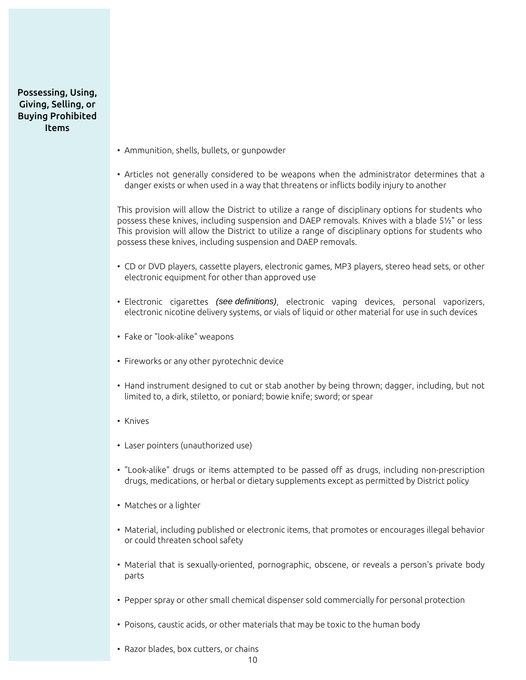Possessing, Using, Giving, Selling, or Buying Prohibited Items

- Ammunition, shells, bullets, or gunpowder
- Articles not generally considered to be weapons when the administrator determines that a danger exists or when used in a way that threatens or inflicts bodily injury to another

This provision will allow the District to utilize a range of disciplinary options for students who possess these knives, including suspension and DAEP removals. Knives with a blade 5½" or less This provision will allow the District to utilize a range of disciplinary options for students who possess these knives, including suspension and DAEP removals.

- CD or DVD players, cassette players, electronic games, MP3 players, stereo head sets, or other electronic equipment for other than approved use
- Electronic cigarettes (see definitions), electronic vaping devices, personal vaporizers, electronic nicotine delivery systems, or vials of liquid or other material for use in such devices
- Fake or "look-alike" weapons
- Fireworks or any other pyrotechnic device
- Hand instrument designed to cut or stab another by being thrown; dagger, including, but not limited to, a dirk, stiletto, or poniard; bowie knife; sword; or spear
- Knives
- Laser pointers (unauthorized use)
- "Look-alike" drugs or items attempted to be passed off as drugs, including non-prescription drugs, medications, or herbal or dietary supplements except as permitted by District policy
- Matches or a lighter
- Material, including published or electronic items, that promotes or encourages illegal behavior or could threaten school safety
- Material that is sexually-oriented, pornographic, obscene, or reveals a person's private body parts
- Pepper spray or other small chemical dispenser sold commercially for personal protection
- Poisons, caustic acids, or other materials that may be toxic to the human body
- Razor blades, box cutters, or chains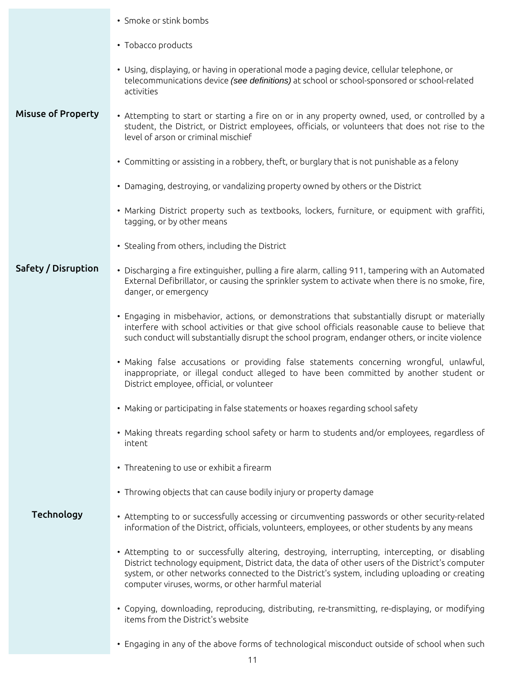|                           | • Smoke or stink bombs                                                                                                                                                                                                                                                                                                                                    |  |  |  |
|---------------------------|-----------------------------------------------------------------------------------------------------------------------------------------------------------------------------------------------------------------------------------------------------------------------------------------------------------------------------------------------------------|--|--|--|
|                           | • Tobacco products                                                                                                                                                                                                                                                                                                                                        |  |  |  |
|                           | • Using, displaying, or having in operational mode a paging device, cellular telephone, or<br>telecommunications device (see definitions) at school or school-sponsored or school-related<br>activities                                                                                                                                                   |  |  |  |
| <b>Misuse of Property</b> | • Attempting to start or starting a fire on or in any property owned, used, or controlled by a<br>student, the District, or District employees, officials, or volunteers that does not rise to the<br>level of arson or criminal mischief                                                                                                                 |  |  |  |
|                           | • Committing or assisting in a robbery, theft, or burglary that is not punishable as a felony                                                                                                                                                                                                                                                             |  |  |  |
|                           | • Damaging, destroying, or vandalizing property owned by others or the District                                                                                                                                                                                                                                                                           |  |  |  |
|                           | • Marking District property such as textbooks, lockers, furniture, or equipment with graffiti,<br>tagging, or by other means                                                                                                                                                                                                                              |  |  |  |
|                           | • Stealing from others, including the District                                                                                                                                                                                                                                                                                                            |  |  |  |
| Safety / Disruption       | • Discharging a fire extinguisher, pulling a fire alarm, calling 911, tampering with an Automated<br>External Defibrillator, or causing the sprinkler system to activate when there is no smoke, fire,<br>danger, or emergency                                                                                                                            |  |  |  |
|                           | • Engaging in misbehavior, actions, or demonstrations that substantially disrupt or materially<br>interfere with school activities or that give school officials reasonable cause to believe that<br>such conduct will substantially disrupt the school program, endanger others, or incite violence                                                      |  |  |  |
|                           | • Making false accusations or providing false statements concerning wrongful, unlawful,<br>inappropriate, or illegal conduct alleged to have been committed by another student or<br>District employee, official, or volunteer                                                                                                                            |  |  |  |
|                           | • Making or participating in false statements or hoaxes regarding school safety                                                                                                                                                                                                                                                                           |  |  |  |
|                           | • Making threats regarding school safety or harm to students and/or employees, regardless of<br>intent                                                                                                                                                                                                                                                    |  |  |  |
|                           | • Threatening to use or exhibit a firearm                                                                                                                                                                                                                                                                                                                 |  |  |  |
|                           | • Throwing objects that can cause bodily injury or property damage                                                                                                                                                                                                                                                                                        |  |  |  |
| <b>Technology</b>         | • Attempting to or successfully accessing or circumventing passwords or other security-related<br>information of the District, officials, volunteers, employees, or other students by any means                                                                                                                                                           |  |  |  |
|                           | • Attempting to or successfully altering, destroying, interrupting, intercepting, or disabling<br>District technology equipment, District data, the data of other users of the District's computer<br>system, or other networks connected to the District's system, including uploading or creating<br>computer viruses, worms, or other harmful material |  |  |  |
|                           | • Copying, downloading, reproducing, distributing, re-transmitting, re-displaying, or modifying<br>items from the District's website                                                                                                                                                                                                                      |  |  |  |
|                           | • Engaging in any of the above forms of technological misconduct outside of school when such                                                                                                                                                                                                                                                              |  |  |  |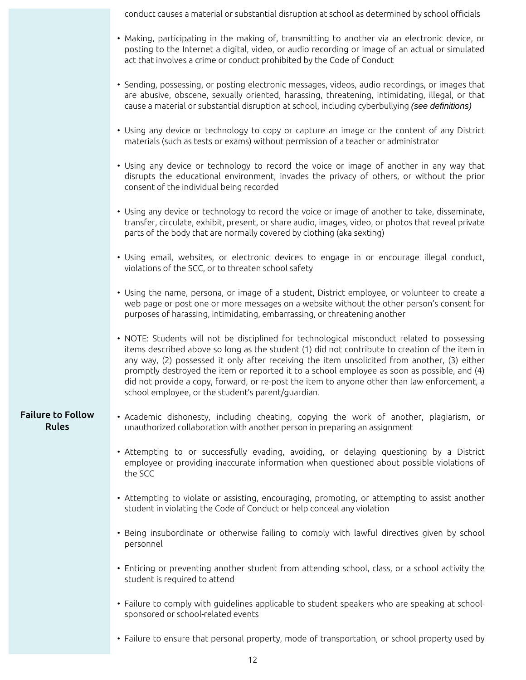conduct causes a material or substantial disruption at school as determined by school officials

- Making, participating in the making of, transmitting to another via an electronic device, or posting to the Internet a digital, video, or audio recording or image of an actual or simulated act that involves a crime or conduct prohibited by the Code of Conduct
- Sending, possessing, or posting electronic messages, videos, audio recordings, or images that are abusive, obscene, sexually oriented, harassing, threatening, intimidating, illegal, or that cause a material or substantial disruption at school, including cyberbullying (see definitions)
- Using any device or technology to copy or capture an image or the content of any District materials (such as tests or exams) without permission of a teacher or administrator
- Using any device or technology to record the voice or image of another in any way that disrupts the educational environment, invades the privacy of others, or without the prior consent of the individual being recorded
- Using any device or technology to record the voice or image of another to take, disseminate, transfer, circulate, exhibit, present, or share audio, images, video, or photos that reveal private parts of the body that are normally covered by clothing (aka sexting)
- Using email, websites, or electronic devices to engage in or encourage illegal conduct, violations of the SCC, or to threaten school safety
- Using the name, persona, or image of a student, District employee, or volunteer to create a web page or post one or more messages on a website without the other person's consent for purposes of harassing, intimidating, embarrassing, or threatening another
- NOTE: Students will not be disciplined for technological misconduct related to possessing items described above so long as the student (1) did not contribute to creation of the item in any way, (2) possessed it only after receiving the item unsolicited from another, (3) either promptly destroyed the item or reported it to a school employee as soon as possible, and (4) did not provide a copy, forward, or re-post the item to anyone other than law enforcement, a school employee, or the student's parent/guardian.

## Failure to Follow Rules

- Academic dishonesty, including cheating, copying the work of another, plagiarism, or unauthorized collaboration with another person in preparing an assignment
	- Attempting to or successfully evading, avoiding, or delaying questioning by a District employee or providing inaccurate information when questioned about possible violations of the SCC
	- Attempting to violate or assisting, encouraging, promoting, or attempting to assist another student in violating the Code of Conduct or help conceal any violation
	- Being insubordinate or otherwise failing to comply with lawful directives given by school personnel
	- Enticing or preventing another student from attending school, class, or a school activity the student is required to attend
	- Failure to comply with guidelines applicable to student speakers who are speaking at schoolsponsored or school-related events
	- Failure to ensure that personal property, mode of transportation, or school property used by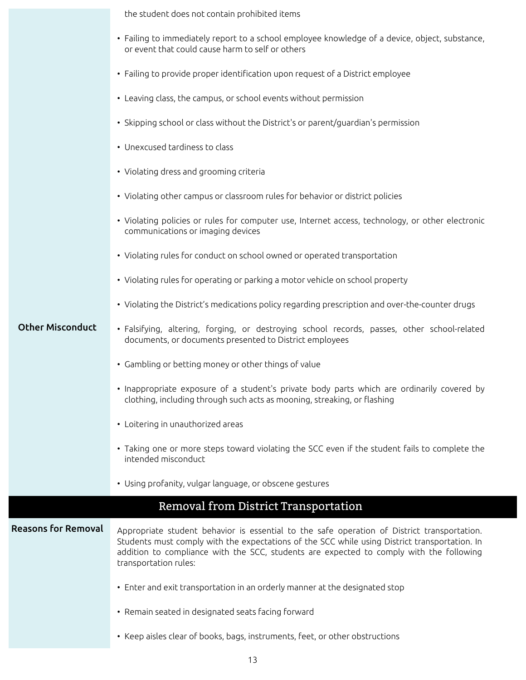|                            | the student does not contain prohibited items                                                                                                                                                                                                                                                                    |  |  |  |  |
|----------------------------|------------------------------------------------------------------------------------------------------------------------------------------------------------------------------------------------------------------------------------------------------------------------------------------------------------------|--|--|--|--|
|                            | • Failing to immediately report to a school employee knowledge of a device, object, substance,<br>or event that could cause harm to self or others                                                                                                                                                               |  |  |  |  |
|                            | • Failing to provide proper identification upon request of a District employee                                                                                                                                                                                                                                   |  |  |  |  |
|                            | • Leaving class, the campus, or school events without permission                                                                                                                                                                                                                                                 |  |  |  |  |
|                            | • Skipping school or class without the District's or parent/guardian's permission                                                                                                                                                                                                                                |  |  |  |  |
|                            | • Unexcused tardiness to class                                                                                                                                                                                                                                                                                   |  |  |  |  |
|                            | • Violating dress and grooming criteria                                                                                                                                                                                                                                                                          |  |  |  |  |
|                            | • Violating other campus or classroom rules for behavior or district policies                                                                                                                                                                                                                                    |  |  |  |  |
|                            | • Violating policies or rules for computer use, Internet access, technology, or other electronic<br>communications or imaging devices                                                                                                                                                                            |  |  |  |  |
|                            | • Violating rules for conduct on school owned or operated transportation                                                                                                                                                                                                                                         |  |  |  |  |
|                            | • Violating rules for operating or parking a motor vehicle on school property                                                                                                                                                                                                                                    |  |  |  |  |
|                            | • Violating the District's medications policy regarding prescription and over-the-counter drugs                                                                                                                                                                                                                  |  |  |  |  |
| <b>Other Misconduct</b>    | · Falsifying, altering, forging, or destroying school records, passes, other school-related<br>documents, or documents presented to District employees                                                                                                                                                           |  |  |  |  |
|                            | • Gambling or betting money or other things of value                                                                                                                                                                                                                                                             |  |  |  |  |
|                            | • Inappropriate exposure of a student's private body parts which are ordinarily covered by<br>clothing, including through such acts as mooning, streaking, or flashing                                                                                                                                           |  |  |  |  |
|                            | • Loitering in unauthorized areas                                                                                                                                                                                                                                                                                |  |  |  |  |
|                            | • Taking one or more steps toward violating the SCC even if the student fails to complete the<br>intended misconduct                                                                                                                                                                                             |  |  |  |  |
|                            | • Using profanity, vulgar language, or obscene gestures                                                                                                                                                                                                                                                          |  |  |  |  |
|                            | Removal from District Transportation                                                                                                                                                                                                                                                                             |  |  |  |  |
| <b>Reasons for Removal</b> | Appropriate student behavior is essential to the safe operation of District transportation.<br>Students must comply with the expectations of the SCC while using District transportation. In<br>addition to compliance with the SCC, students are expected to comply with the following<br>transportation rules: |  |  |  |  |
|                            | • Enter and exit transportation in an orderly manner at the designated stop                                                                                                                                                                                                                                      |  |  |  |  |
|                            | • Remain seated in designated seats facing forward                                                                                                                                                                                                                                                               |  |  |  |  |
|                            | • Keep aisles clear of books, bags, instruments, feet, or other obstructions                                                                                                                                                                                                                                     |  |  |  |  |
|                            |                                                                                                                                                                                                                                                                                                                  |  |  |  |  |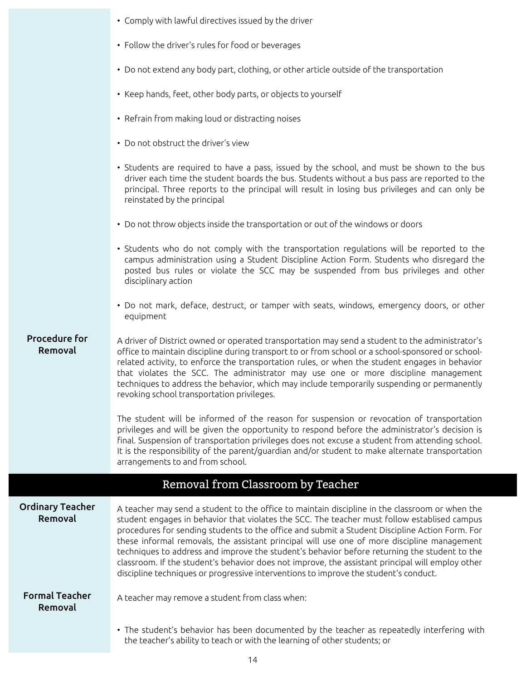|                                    | • Comply with lawful directives issued by the driver                                                                                                                                                                                                                                                                                                                                                                                                                                                                                                                                                                                                                                        |
|------------------------------------|---------------------------------------------------------------------------------------------------------------------------------------------------------------------------------------------------------------------------------------------------------------------------------------------------------------------------------------------------------------------------------------------------------------------------------------------------------------------------------------------------------------------------------------------------------------------------------------------------------------------------------------------------------------------------------------------|
|                                    | • Follow the driver's rules for food or beverages                                                                                                                                                                                                                                                                                                                                                                                                                                                                                                                                                                                                                                           |
|                                    | • Do not extend any body part, clothing, or other article outside of the transportation                                                                                                                                                                                                                                                                                                                                                                                                                                                                                                                                                                                                     |
|                                    | • Keep hands, feet, other body parts, or objects to yourself                                                                                                                                                                                                                                                                                                                                                                                                                                                                                                                                                                                                                                |
|                                    | • Refrain from making loud or distracting noises                                                                                                                                                                                                                                                                                                                                                                                                                                                                                                                                                                                                                                            |
|                                    | • Do not obstruct the driver's view                                                                                                                                                                                                                                                                                                                                                                                                                                                                                                                                                                                                                                                         |
|                                    | • Students are required to have a pass, issued by the school, and must be shown to the bus<br>driver each time the student boards the bus. Students without a bus pass are reported to the<br>principal. Three reports to the principal will result in losing bus privileges and can only be<br>reinstated by the principal                                                                                                                                                                                                                                                                                                                                                                 |
|                                    | • Do not throw objects inside the transportation or out of the windows or doors                                                                                                                                                                                                                                                                                                                                                                                                                                                                                                                                                                                                             |
|                                    | • Students who do not comply with the transportation regulations will be reported to the<br>campus administration using a Student Discipline Action Form. Students who disregard the<br>posted bus rules or violate the SCC may be suspended from bus privileges and other<br>disciplinary action                                                                                                                                                                                                                                                                                                                                                                                           |
|                                    | • Do not mark, deface, destruct, or tamper with seats, windows, emergency doors, or other<br>equipment                                                                                                                                                                                                                                                                                                                                                                                                                                                                                                                                                                                      |
| <b>Procedure for</b><br>Removal    | A driver of District owned or operated transportation may send a student to the administrator's<br>office to maintain discipline during transport to or from school or a school-sponsored or school-<br>related activity, to enforce the transportation rules, or when the student engages in behavior<br>that violates the SCC. The administrator may use one or more discipline management<br>techniques to address the behavior, which may include temporarily suspending or permanently<br>revoking school transportation privileges.                                                                                                                                                   |
|                                    | The student will be informed of the reason for suspension or revocation of transportation<br>privileges and will be given the opportunity to respond before the administrator's decision is<br>final. Suspension of transportation privileges does not excuse a student from attending school.<br>It is the responsibility of the parent/guardian and/or student to make alternate transportation<br>arrangements to and from school.                                                                                                                                                                                                                                                       |
|                                    | Removal from Classroom by Teacher                                                                                                                                                                                                                                                                                                                                                                                                                                                                                                                                                                                                                                                           |
| <b>Ordinary Teacher</b><br>Removal | A teacher may send a student to the office to maintain discipline in the classroom or when the<br>student engages in behavior that violates the SCC. The teacher must follow establised campus<br>procedures for sending students to the office and submit a Student Discipline Action Form. For<br>these informal removals, the assistant principal will use one of more discipline management<br>techniques to address and improve the student's behavior before returning the student to the<br>classroom. If the student's behavior does not improve, the assistant principal will employ other<br>discipline techniques or progressive interventions to improve the student's conduct. |
| <b>Formal Teacher</b><br>Removal   | A teacher may remove a student from class when:                                                                                                                                                                                                                                                                                                                                                                                                                                                                                                                                                                                                                                             |
|                                    | • The student's behavior has been documented by the teacher as repeatedly interfering with<br>the teacher's ability to teach or with the learning of other students; or                                                                                                                                                                                                                                                                                                                                                                                                                                                                                                                     |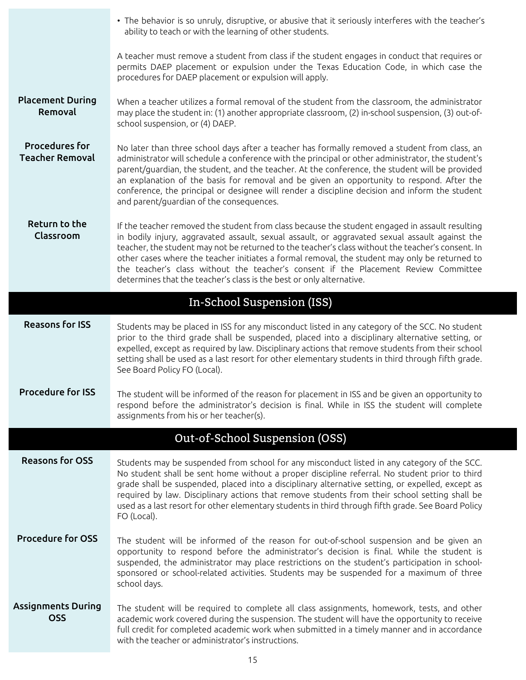|                                                 | • The behavior is so unruly, disruptive, or abusive that it seriously interferes with the teacher's<br>ability to teach or with the learning of other students.                                                                                                                                                                                                                                                                                                                                                                                                       |
|-------------------------------------------------|-----------------------------------------------------------------------------------------------------------------------------------------------------------------------------------------------------------------------------------------------------------------------------------------------------------------------------------------------------------------------------------------------------------------------------------------------------------------------------------------------------------------------------------------------------------------------|
|                                                 | A teacher must remove a student from class if the student engages in conduct that requires or<br>permits DAEP placement or expulsion under the Texas Education Code, in which case the<br>procedures for DAEP placement or expulsion will apply.                                                                                                                                                                                                                                                                                                                      |
| <b>Placement During</b><br>Removal              | When a teacher utilizes a formal removal of the student from the classroom, the administrator<br>may place the student in: (1) another appropriate classroom, (2) in-school suspension, (3) out-of-<br>school suspension, or (4) DAEP.                                                                                                                                                                                                                                                                                                                                |
| <b>Procedures for</b><br><b>Teacher Removal</b> | No later than three school days after a teacher has formally removed a student from class, an<br>administrator will schedule a conference with the principal or other administrator, the student's<br>parent/guardian, the student, and the teacher. At the conference, the student will be provided<br>an explanation of the basis for removal and be given an opportunity to respond. After the<br>conference, the principal or designee will render a discipline decision and inform the student<br>and parent/guardian of the consequences.                       |
| Return to the<br>Classroom                      | If the teacher removed the student from class because the student engaged in assault resulting<br>in bodily injury, aggravated assault, sexual assault, or aggravated sexual assault against the<br>teacher, the student may not be returned to the teacher's class without the teacher's consent. In<br>other cases where the teacher initiates a formal removal, the student may only be returned to<br>the teacher's class without the teacher's consent if the Placement Review Committee<br>determines that the teacher's class is the best or only alternative. |
|                                                 | In-School Suspension (ISS)                                                                                                                                                                                                                                                                                                                                                                                                                                                                                                                                            |
| <b>Reasons for ISS</b>                          | Students may be placed in ISS for any misconduct listed in any category of the SCC. No student<br>prior to the third grade shall be suspended, placed into a disciplinary alternative setting, or<br>expelled, except as required by law. Disciplinary actions that remove students from their school<br>setting shall be used as a last resort for other elementary students in third through fifth grade.<br>See Board Policy FO (Local).                                                                                                                           |
| <b>Procedure for ISS</b>                        | The student will be informed of the reason for placement in ISS and be given an opportunity to<br>respond before the administrator's decision is final. While in ISS the student will complete<br>assignments from his or her teacher(s).                                                                                                                                                                                                                                                                                                                             |
|                                                 | Out-of-School Suspension (OSS)                                                                                                                                                                                                                                                                                                                                                                                                                                                                                                                                        |
| <b>Reasons for OSS</b>                          | Students may be suspended from school for any misconduct listed in any category of the SCC.<br>No student shall be sent home without a proper discipline referral. No student prior to third<br>grade shall be suspended, placed into a disciplinary alternative setting, or expelled, except as<br>required by law. Disciplinary actions that remove students from their school setting shall be<br>used as a last resort for other elementary students in third through fifth grade. See Board Policy<br>FO (Local).                                                |
| <b>Procedure for OSS</b>                        | The student will be informed of the reason for out-of-school suspension and be given an<br>opportunity to respond before the administrator's decision is final. While the student is<br>suspended, the administrator may place restrictions on the student's participation in school-<br>sponsored or school-related activities. Students may be suspended for a maximum of three<br>school days.                                                                                                                                                                     |
| <b>Assignments During</b><br><b>OSS</b>         | The student will be required to complete all class assignments, homework, tests, and other<br>academic work covered during the suspension. The student will have the opportunity to receive<br>full credit for completed academic work when submitted in a timely manner and in accordance<br>with the teacher or administrator's instructions.                                                                                                                                                                                                                       |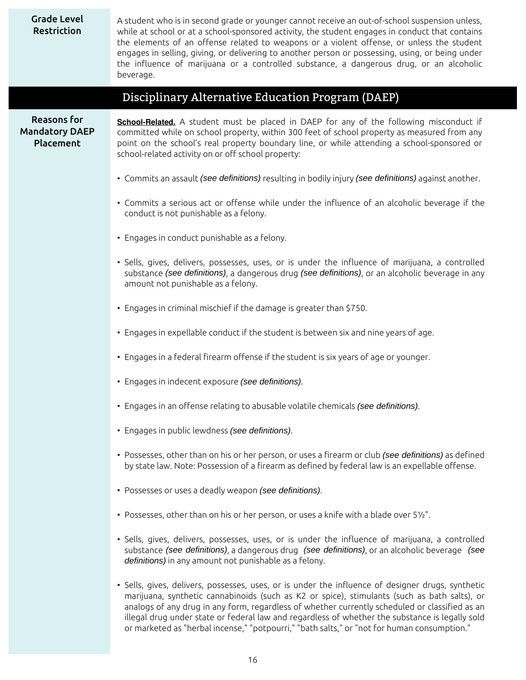| <b>Grade Level</b><br>Restriction                        | A student who is in second grade or younger cannot receive an out-of-school suspension unless,<br>while at school or at a school-sponsored activity, the student engages in conduct that contains<br>the elements of an offense related to weapons or a violent offense, or unless the student<br>engages in selling, giving, or delivering to another person or possessing, using, or being under<br>the influence of marijuana or a controlled substance, a dangerous drug, or an alcoholic<br>beverage. |
|----------------------------------------------------------|------------------------------------------------------------------------------------------------------------------------------------------------------------------------------------------------------------------------------------------------------------------------------------------------------------------------------------------------------------------------------------------------------------------------------------------------------------------------------------------------------------|
|                                                          | Disciplinary Alternative Education Program (DAEP)                                                                                                                                                                                                                                                                                                                                                                                                                                                          |
| <b>Reasons for</b><br><b>Mandatory DAEP</b><br>Placement | <b>School-Related.</b> A student must be placed in DAEP for any of the following misconduct if<br>committed while on school property, within 300 feet of school property as measured from any<br>point on the school's real property boundary line, or while attending a school-sponsored or<br>school-related activity on or off school property:                                                                                                                                                         |
|                                                          | . Commits an assault (see definitions) resulting in bodily injury (see definitions) against another.                                                                                                                                                                                                                                                                                                                                                                                                       |
|                                                          | • Commits a serious act or offense while under the influence of an alcoholic beverage if the<br>conduct is not punishable as a felony.                                                                                                                                                                                                                                                                                                                                                                     |
|                                                          | • Engages in conduct punishable as a felony.                                                                                                                                                                                                                                                                                                                                                                                                                                                               |
|                                                          | • Sells, gives, delivers, possesses, uses, or is under the influence of marijuana, a controlled<br>substance (see definitions), a dangerous drug (see definitions), or an alcoholic beverage in any<br>amount not punishable as a felony.                                                                                                                                                                                                                                                                  |
|                                                          | • Engages in criminal mischief if the damage is greater than \$750.                                                                                                                                                                                                                                                                                                                                                                                                                                        |
|                                                          | • Engages in expellable conduct if the student is between six and nine years of age.                                                                                                                                                                                                                                                                                                                                                                                                                       |
|                                                          | • Engages in a federal firearm offense if the student is six years of age or younger.                                                                                                                                                                                                                                                                                                                                                                                                                      |
|                                                          | · Engages in indecent exposure (see definitions).                                                                                                                                                                                                                                                                                                                                                                                                                                                          |
|                                                          | • Engages in an offense relating to abusable volatile chemicals (see definitions).                                                                                                                                                                                                                                                                                                                                                                                                                         |
|                                                          | · Engages in public lewdness (see definitions).                                                                                                                                                                                                                                                                                                                                                                                                                                                            |
|                                                          | • Possesses, other than on his or her person, or uses a firearm or club (see definitions) as defined<br>by state law. Note: Possession of a firearm as defined by federal law is an expellable offense.                                                                                                                                                                                                                                                                                                    |
|                                                          | • Possesses or uses a deadly weapon (see definitions).                                                                                                                                                                                                                                                                                                                                                                                                                                                     |
|                                                          | • Possesses, other than on his or her person, or uses a knife with a blade over 51/2".                                                                                                                                                                                                                                                                                                                                                                                                                     |
|                                                          | • Sells, gives, delivers, possesses, uses, or is under the influence of marijuana, a controlled<br>substance (see definitions), a dangerous drug (see definitions), or an alcoholic beverage (see<br>definitions) in any amount not punishable as a felony.                                                                                                                                                                                                                                                |
|                                                          | • Sells, gives, delivers, possesses, uses, or is under the influence of designer drugs, synthetic<br>marijuana, synthetic cannabinoids (such as K2 or spice), stimulants (such as bath salts), or<br>analogs of any drug in any form, regardless of whether currently scheduled or classified as an<br>illegal drug under state or federal law and regardless of whether the substance is legally sold<br>or marketed as "herbal incense," "potpourri," "bath salts," or "not for human consumption."      |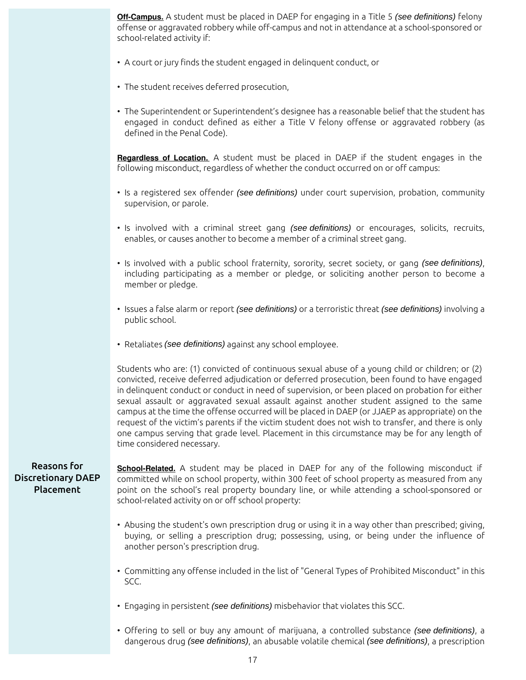**Off-Campus.** A student must be placed in DAEP for engaging in a Title 5 (see definitions) felony offense or aggravated robbery while off-campus and not in attendance at a school-sponsored or school-related activity if:

- A court or jury finds the student engaged in delinquent conduct, or
- The student receives deferred prosecution,
- The Superintendent or Superintendent's designee has a reasonable belief that the student has engaged in conduct defined as either a Title V felony offense or aggravated robbery (as defined in the Penal Code).

**Regardless of Location.** A student must be placed in DAEP if the student engages in the following misconduct, regardless of whether the conduct occurred on or off campus:

- Is a registered sex offender (see definitions) under court supervision, probation, community supervision, or parole.
- Is involved with a criminal street gang (see definitions) or encourages, solicits, recruits, enables, or causes another to become a member of a criminal street gang.
- Is involved with a public school fraternity, sorority, secret society, or gang (see definitions), including participating as a member or pledge, or soliciting another person to become a member or pledge.
- Issues a false alarm or report (see definitions) or a terroristic threat (see definitions) involving a public school.
- Retaliates (see definitions) against any school employee.

Students who are: (1) convicted of continuous sexual abuse of a young child or children; or (2) convicted, receive deferred adjudication or deferred prosecution, been found to have engaged in delinquent conduct or conduct in need of supervision, or been placed on probation for either sexual assault or aggravated sexual assault against another student assigned to the same campus at the time the offense occurred will be placed in DAEP (or JJAEP as appropriate) on the request of the victim's parents if the victim student does not wish to transfer, and there is only one campus serving that grade level. Placement in this circumstance may be for any length of time considered necessary.

#### Reasons for Discretionary DAEP Placement

**School-Related.** A student may be placed in DAEP for any of the following misconduct if committed while on school property, within 300 feet of school property as measured from any point on the school's real property boundary line, or while attending a school-sponsored or school-related activity on or off school property:

- Abusing the student's own prescription drug or using it in a way other than prescribed; giving, buying, or selling a prescription drug; possessing, using, or being under the influence of another person's prescription drug.
- Committing any offense included in the list of "General Types of Prohibited Misconduct" in this SCC.
- Engaging in persistent (see definitions) misbehavior that violates this SCC.
- Offering to sell or buy any amount of marijuana, a controlled substance (see definitions), a dangerous drug (see definitions), an abusable volatile chemical (see definitions), a prescription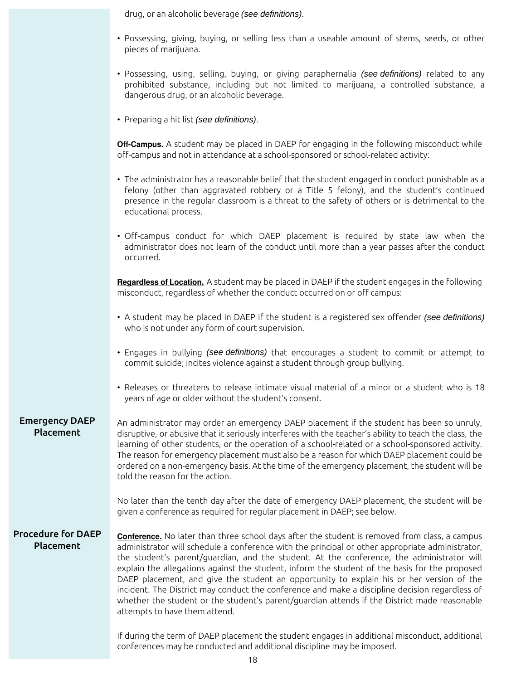drug, or an alcoholic beverage (see definitions).

- Possessing, giving, buying, or selling less than a useable amount of stems, seeds, or other pieces of marijuana.
- Possessing, using, selling, buying, or giving paraphernalia (see definitions) related to any prohibited substance, including but not limited to marijuana, a controlled substance, a dangerous drug, or an alcoholic beverage.
- Preparing a hit list (see definitions).

**Off-Campus.** A student may be placed in DAEP for engaging in the following misconduct while off-campus and not in attendance at a school-sponsored or school-related activity:

- The administrator has a reasonable belief that the student engaged in conduct punishable as a felony (other than aggravated robbery or a Title 5 felony), and the student's continued presence in the regular classroom is a threat to the safety of others or is detrimental to the educational process.
- Off-campus conduct for which DAEP placement is required by state law when the administrator does not learn of the conduct until more than a year passes after the conduct occurred.

**Regardless of Location.** A student may be placed in DAEP if the student engages in the following misconduct, regardless of whether the conduct occurred on or off campus:

- A student may be placed in DAEP if the student is a registered sex offender (see definitions) who is not under any form of court supervision.
- Engages in bullying (see definitions) that encourages a student to commit or attempt to commit suicide; incites violence against a student through group bullying.
- Releases or threatens to release intimate visual material of a minor or a student who is 18 years of age or older without the student's consent.

#### Emergency DAEP Placement An administrator may order an emergency DAEP placement if the student has been so unruly, disruptive, or abusive that it seriously interferes with the teacher's ability to teach the class, the learning of other students, or the operation of a school-related or a school-sponsored activity. The reason for emergency placement must also be a reason for which DAEP placement could be ordered on a non-emergency basis. At the time of the emergency placement, the student will be told the reason for the action.

No later than the tenth day after the date of emergency DAEP placement, the student will be given a conference as required for regular placement in DAEP; see below.

### Procedure for DAEP Placement

**Conference.** No later than three school days after the student is removed from class, a campus administrator will schedule a conference with the principal or other appropriate administrator, the student's parent/guardian, and the student. At the conference, the administrator will explain the allegations against the student, inform the student of the basis for the proposed DAEP placement, and give the student an opportunity to explain his or her version of the incident. The District may conduct the conference and make a discipline decision regardless of whether the student or the student's parent/guardian attends if the District made reasonable attempts to have them attend.

If during the term of DAEP placement the student engages in additional misconduct, additional conferences may be conducted and additional discipline may be imposed.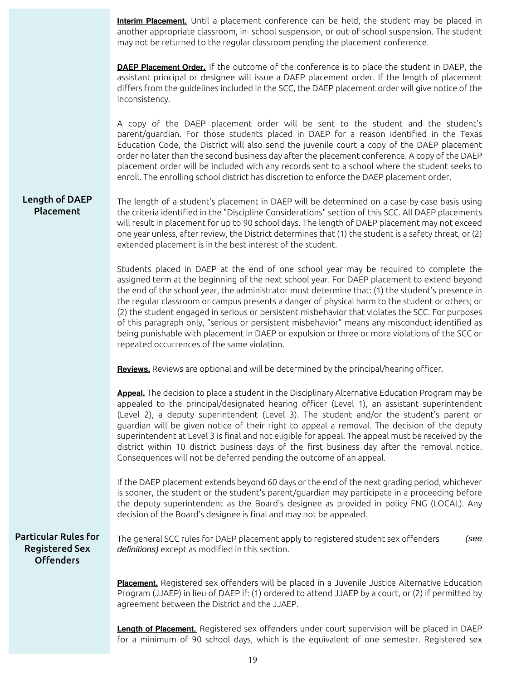**Interim Placement.** Until a placement conference can be held, the student may be placed in another appropriate classroom, in- school suspension, or out-of-school suspension. The student may not be returned to the regular classroom pending the placement conference. **DAEP Placement Order.** If the outcome of the conference is to place the student in DAEP, the assistant principal or designee will issue a DAEP placement order. If the length of placement differs from the guidelines included in the SCC, the DAEP placement order will give notice of the inconsistency. A copy of the DAEP placement order will be sent to the student and the student's parent/guardian. For those students placed in DAEP for a reason identified in the Texas Education Code, the District will also send the juvenile court a copy of the DAEP placement order no later than the second business day after the placement conference. A copy of the DAEP placement order will be included with any records sent to a school where the student seeks to enroll. The enrolling school district has discretion to enforce the DAEP placement order. Length of DAEP Placement The length of a student's placement in DAEP will be determined on a case-by-case basis using the criteria identified in the "Discipline Considerations" section of this SCC. All DAEP placements will result in placement for up to 90 school days. The length of DAEP placement may not exceed one year unless, after review, the District determines that (1) the student is a safety threat, or (2) extended placement is in the best interest of the student. Students placed in DAEP at the end of one school year may be required to complete the assigned term at the beginning of the next school year. For DAEP placement to extend beyond the end of the school year, the administrator must determine that: (1) the student's presence in the regular classroom or campus presents a danger of physical harm to the student or others; or (2) the student engaged in serious or persistent misbehavior that violates the SCC. For purposes of this paragraph only, "serious or persistent misbehavior" means any misconduct identified as being punishable with placement in DAEP or expulsion or three or more violations of the SCC or repeated occurrences of the same violation. **Reviews.** Reviews are optional and will be determined by the principal/hearing officer. **Appeal.** The decision to place a student in the Disciplinary Alternative Education Program may be appealed to the principal/designated hearing officer (Level 1), an assistant superintendent (Level 2), a deputy superintendent (Level 3). The student and/or the student's parent or guardian will be given notice of their right to appeal a removal. The decision of the deputy superintendent at Level 3 is final and not eligible for appeal. The appeal must be received by the district within 10 district business days of the first business day after the removal notice. Consequences will not be deferred pending the outcome of an appeal. If the DAEP placement extends beyond 60 days or the end of the next grading period, whichever is sooner, the student or the student's parent/guardian may participate in a proceeding before the deputy superintendent as the Board's designee as provided in policy FNG (LOCAL). Any decision of the Board's designee is final and may not be appealed. Particular Rules for Registered Sex Offenders The general SCC rules for DAEP placement apply to registered student sex offenders (see definitions) except as modified in this section. **Placement.** Registered sex offenders will be placed in a Juvenile Justice Alternative Education Program (JJAEP) in lieu of DAEP if: (1) ordered to attend JJAEP by a court, or (2) if permitted by agreement between the District and the JJAEP.

**Length of Placement.** Registered sex offenders under court supervision will be placed in DAEP for a minimum of 90 school days, which is the equivalent of one semester. Registered sex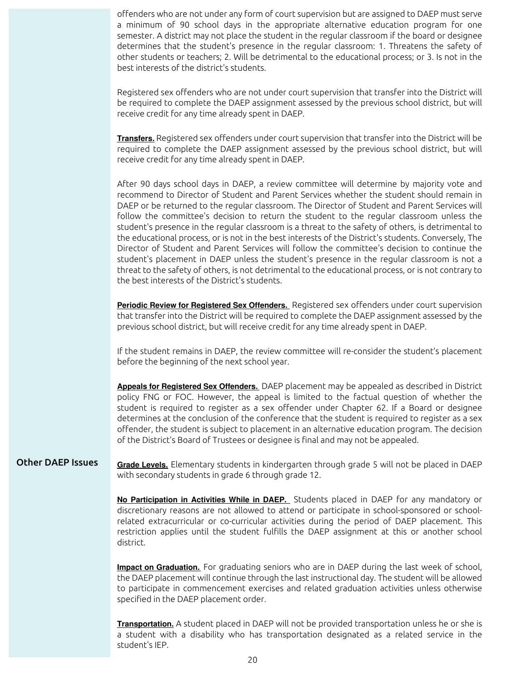offenders who are not under any form of court supervision but are assigned to DAEP must serve a minimum of 90 school days in the appropriate alternative education program for one semester. A district may not place the student in the regular classroom if the board or designee determines that the student's presence in the regular classroom: 1. Threatens the safety of other students or teachers; 2. Will be detrimental to the educational process; or 3. Is not in the best interests of the district's students.

Registered sex offenders who are not under court supervision that transfer into the District will be required to complete the DAEP assignment assessed by the previous school district, but will receive credit for any time already spent in DAEP.

**Transfers.** Registered sex offenders under court supervision that transfer into the District will be required to complete the DAEP assignment assessed by the previous school district, but will receive credit for any time already spent in DAEP.

After 90 days school days in DAEP, a review committee will determine by majority vote and recommend to Director of Student and Parent Services whether the student should remain in DAEP or be returned to the regular classroom. The Director of Student and Parent Services will follow the committee's decision to return the student to the regular classroom unless the student's presence in the regular classroom is a threat to the safety of others, is detrimental to the educational process, or is not in the best interests of the District's students. Conversely, The Director of Student and Parent Services will follow the committee's decision to continue the student's placement in DAEP unless the student's presence in the regular classroom is not a threat to the safety of others, is not detrimental to the educational process, or is not contrary to the best interests of the District's students.

**Periodic Review for Registered Sex Offenders.** Registered sex offenders under court supervision that transfer into the District will be required to complete the DAEP assignment assessed by the previous school district, but will receive credit for any time already spent in DAEP.

If the student remains in DAEP, the review committee will re-consider the student's placement before the beginning of the next school year.

**Appeals for Registered Sex Offenders.** DAEP placement may be appealed as described in District policy FNG or FOC. However, the appeal is limited to the factual question of whether the student is required to register as a sex offender under Chapter 62. If a Board or designee determines at the conclusion of the conference that the student is required to register as a sex offender, the student is subject to placement in an alternative education program. The decision of the District's Board of Trustees or designee is final and may not be appealed.

Other DAEP Issues **Grade Levels.** Elementary students in kindergarten through grade 5 will not be placed in DAEP with secondary students in grade 6 through grade 12.

> **No Participation in Activities While in DAEP.** Students placed in DAEP for any mandatory or discretionary reasons are not allowed to attend or participate in school-sponsored or schoolrelated extracurricular or co-curricular activities during the period of DAEP placement. This restriction applies until the student fulfills the DAEP assignment at this or another school district.

> **Impact on Graduation.** For graduating seniors who are in DAEP during the last week of school, the DAEP placement will continue through the last instructional day. The student will be allowed to participate in commencement exercises and related graduation activities unless otherwise specified in the DAEP placement order.

> **Transportation.** A student placed in DAEP will not be provided transportation unless he or she is a student with a disability who has transportation designated as a related service in the student's IEP.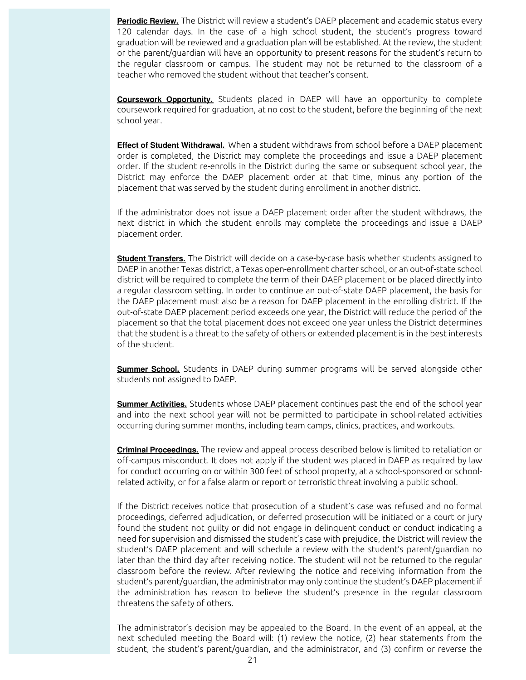**Periodic Review.** The District will review a student's DAEP placement and academic status every 120 calendar days. In the case of a high school student, the student's progress toward graduation will be reviewed and a graduation plan will be established. At the review, the student or the parent/guardian will have an opportunity to present reasons for the student's return to the regular classroom or campus. The student may not be returned to the classroom of a teacher who removed the student without that teacher's consent.

**Coursework Opportunity.** Students placed in DAEP will have an opportunity to complete coursework required for graduation, at no cost to the student, before the beginning of the next school year.

**Effect of Student Withdrawal.** When a student withdraws from school before a DAEP placement order is completed, the District may complete the proceedings and issue a DAEP placement order. If the student re-enrolls in the District during the same or subsequent school year, the District may enforce the DAEP placement order at that time, minus any portion of the placement that was served by the student during enrollment in another district.

If the administrator does not issue a DAEP placement order after the student withdraws, the next district in which the student enrolls may complete the proceedings and issue a DAEP placement order.

**Student Transfers.** The District will decide on a case-by-case basis whether students assigned to DAEP in another Texas district, a Texas open-enrollment charter school, or an out-of-state school district will be required to complete the term of their DAEP placement or be placed directly into a regular classroom setting. In order to continue an out-of-state DAEP placement, the basis for the DAEP placement must also be a reason for DAEP placement in the enrolling district. If the out-of-state DAEP placement period exceeds one year, the District will reduce the period of the placement so that the total placement does not exceed one year unless the District determines that the student is a threat to the safety of others or extended placement is in the best interests of the student.

**Summer School.** Students in DAEP during summer programs will be served alongside other students not assigned to DAEP.

**Summer Activities.** Students whose DAEP placement continues past the end of the school year and into the next school year will not be permitted to participate in school-related activities occurring during summer months, including team camps, clinics, practices, and workouts.

**Criminal Proceedings.** The review and appeal process described below is limited to retaliation or off-campus misconduct. It does not apply if the student was placed in DAEP as required by law for conduct occurring on or within 300 feet of school property, at a school-sponsored or schoolrelated activity, or for a false alarm or report or terroristic threat involving a public school.

If the District receives notice that prosecution of a student's case was refused and no formal proceedings, deferred adjudication, or deferred prosecution will be initiated or a court or jury found the student not guilty or did not engage in delinquent conduct or conduct indicating a need for supervision and dismissed the student's case with prejudice, the District will review the student's DAEP placement and will schedule a review with the student's parent/guardian no later than the third day after receiving notice. The student will not be returned to the regular classroom before the review. After reviewing the notice and receiving information from the student's parent/guardian, the administrator may only continue the student's DAEP placement if the administration has reason to believe the student's presence in the regular classroom threatens the safety of others.

The administrator's decision may be appealed to the Board. In the event of an appeal, at the next scheduled meeting the Board will: (1) review the notice, (2) hear statements from the student, the student's parent/guardian, and the administrator, and (3) confirm or reverse the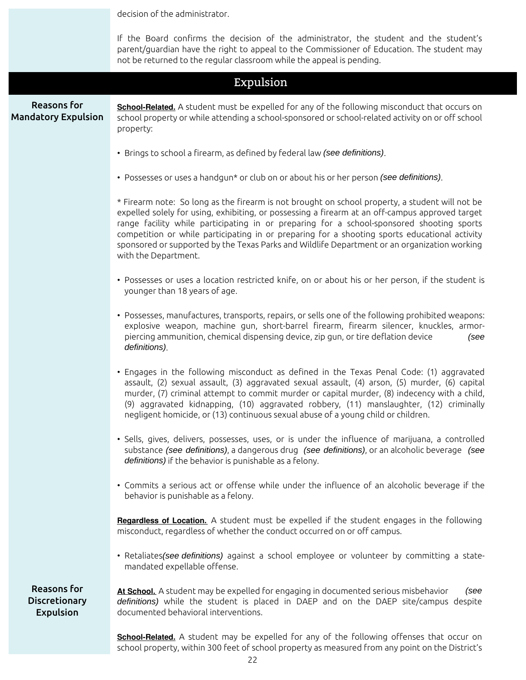|                                                         | decision of the administrator.                                                                                                                                                                                                                                                                                                                                                                                                                                                                                           |  |  |  |  |
|---------------------------------------------------------|--------------------------------------------------------------------------------------------------------------------------------------------------------------------------------------------------------------------------------------------------------------------------------------------------------------------------------------------------------------------------------------------------------------------------------------------------------------------------------------------------------------------------|--|--|--|--|
|                                                         | If the Board confirms the decision of the administrator, the student and the student's<br>parent/guardian have the right to appeal to the Commissioner of Education. The student may<br>not be returned to the regular classroom while the appeal is pending.                                                                                                                                                                                                                                                            |  |  |  |  |
|                                                         | Expulsion                                                                                                                                                                                                                                                                                                                                                                                                                                                                                                                |  |  |  |  |
| <b>Reasons for</b><br><b>Mandatory Expulsion</b>        | School-Related. A student must be expelled for any of the following misconduct that occurs on<br>school property or while attending a school-sponsored or school-related activity on or off school<br>property:                                                                                                                                                                                                                                                                                                          |  |  |  |  |
|                                                         | • Brings to school a firearm, as defined by federal law (see definitions).                                                                                                                                                                                                                                                                                                                                                                                                                                               |  |  |  |  |
|                                                         | • Possesses or uses a handgun* or club on or about his or her person (see definitions).                                                                                                                                                                                                                                                                                                                                                                                                                                  |  |  |  |  |
|                                                         | * Firearm note: So long as the firearm is not brought on school property, a student will not be<br>expelled solely for using, exhibiting, or possessing a firearm at an off-campus approved target<br>range facility while participating in or preparing for a school-sponsored shooting sports<br>competition or while participating in or preparing for a shooting sports educational activity<br>sponsored or supported by the Texas Parks and Wildlife Department or an organization working<br>with the Department. |  |  |  |  |
|                                                         | • Possesses or uses a location restricted knife, on or about his or her person, if the student is<br>younger than 18 years of age.                                                                                                                                                                                                                                                                                                                                                                                       |  |  |  |  |
|                                                         | • Possesses, manufactures, transports, repairs, or sells one of the following prohibited weapons:<br>explosive weapon, machine gun, short-barrel firearm, firearm silencer, knuckles, armor-<br>piercing ammunition, chemical dispensing device, zip gun, or tire deflation device<br>(see<br>definitions).                                                                                                                                                                                                              |  |  |  |  |
|                                                         | • Engages in the following misconduct as defined in the Texas Penal Code: (1) aggravated<br>assault, (2) sexual assault, (3) aggravated sexual assault, (4) arson, (5) murder, (6) capital<br>murder, (7) criminal attempt to commit murder or capital murder, (8) indecency with a child,<br>(9) aggravated kidnapping, (10) aggravated robbery, (11) manslaughter, (12) criminally<br>negligent homicide, or (13) continuous sexual abuse of a young child or children.                                                |  |  |  |  |
|                                                         | • Sells, gives, delivers, possesses, uses, or is under the influence of marijuana, a controlled<br>substance (see definitions), a dangerous drug (see definitions), or an alcoholic beverage (see<br>definitions) if the behavior is punishable as a felony.                                                                                                                                                                                                                                                             |  |  |  |  |
|                                                         | • Commits a serious act or offense while under the influence of an alcoholic beverage if the<br>behavior is punishable as a felony.                                                                                                                                                                                                                                                                                                                                                                                      |  |  |  |  |
|                                                         | Regardless of Location. A student must be expelled if the student engages in the following<br>misconduct, regardless of whether the conduct occurred on or off campus.                                                                                                                                                                                                                                                                                                                                                   |  |  |  |  |
|                                                         | • Retaliates (see definitions) against a school employee or volunteer by committing a state-<br>mandated expellable offense.                                                                                                                                                                                                                                                                                                                                                                                             |  |  |  |  |
| Reasons for<br><b>Discretionary</b><br><b>Expulsion</b> | At School. A student may be expelled for engaging in documented serious misbehavior<br>(see<br>definitions) while the student is placed in DAEP and on the DAEP site/campus despite<br>documented behavioral interventions.                                                                                                                                                                                                                                                                                              |  |  |  |  |
|                                                         | <b>School-Related.</b> A student may be expelled for any of the following offenses that occur on                                                                                                                                                                                                                                                                                                                                                                                                                         |  |  |  |  |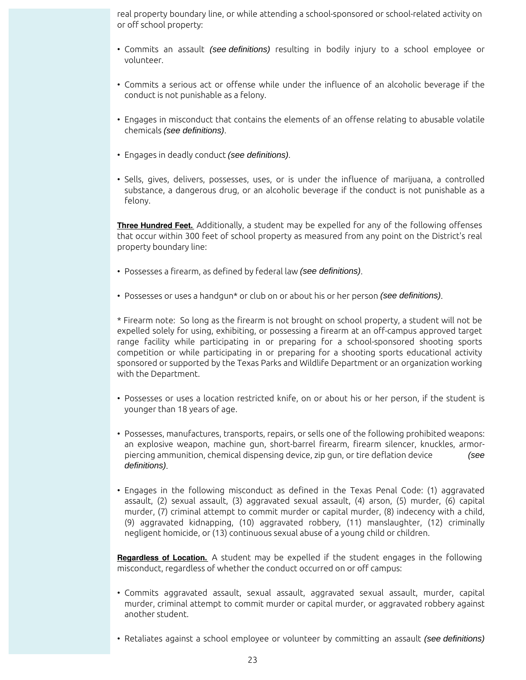real property boundary line, or while attending a school-sponsored or school-related activity on or off school property:

- Commits an assault (see definitions) resulting in bodily injury to a school employee or volunteer.
- Commits a serious act or offense while under the influence of an alcoholic beverage if the conduct is not punishable as a felony.
- Engages in misconduct that contains the elements of an offense relating to abusable volatile chemicals (see definitions).
- Engages in deadly conduct (see definitions).
- Sells, gives, delivers, possesses, uses, or is under the influence of marijuana, a controlled substance, a dangerous drug, or an alcoholic beverage if the conduct is not punishable as a felony.

**Three Hundred Feet.** Additionally, a student may be expelled for any of the following offenses that occur within 300 feet of school property as measured from any point on the District's real property boundary line:

- Possesses a firearm, as defined by federal law (see definitions).
- Possesses or uses a handgun\* or club on or about his or her person (see definitions).

\* Firearm note: So long as the firearm is not brought on school property, a student will not be expelled solely for using, exhibiting, or possessing a firearm at an off-campus approved target range facility while participating in or preparing for a school-sponsored shooting sports competition or while participating in or preparing for a shooting sports educational activity sponsored or supported by the Texas Parks and Wildlife Department or an organization working with the Department.

- Possesses or uses a location restricted knife, on or about his or her person, if the student is younger than 18 years of age.
- Possesses, manufactures, transports, repairs, or sells one of the following prohibited weapons: an explosive weapon, machine gun, short-barrel firearm, firearm silencer, knuckles, armorpiercing ammunition, chemical dispensing device, zip gun, or tire deflation device (see definitions).
- Engages in the following misconduct as defined in the Texas Penal Code: (1) aggravated assault, (2) sexual assault, (3) aggravated sexual assault, (4) arson, (5) murder, (6) capital murder, (7) criminal attempt to commit murder or capital murder, (8) indecency with a child, (9) aggravated kidnapping, (10) aggravated robbery, (11) manslaughter, (12) criminally negligent homicide, or (13) continuous sexual abuse of a young child or children.

**Regardless of Location.** A student may be expelled if the student engages in the following misconduct, regardless of whether the conduct occurred on or off campus:

- Commits aggravated assault, sexual assault, aggravated sexual assault, murder, capital murder, criminal attempt to commit murder or capital murder, or aggravated robbery against another student.
- Retaliates against a school employee or volunteer by committing an assault (see definitions)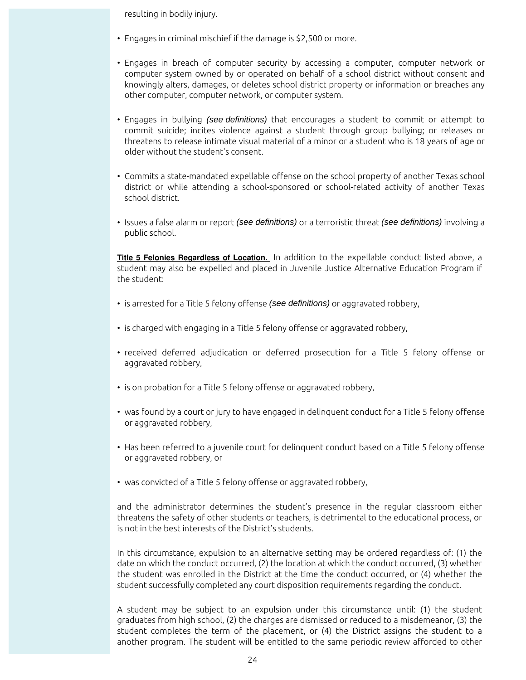resulting in bodily injury.

- Engages in criminal mischief if the damage is \$2,500 or more.
- Engages in breach of computer security by accessing a computer, computer network or computer system owned by or operated on behalf of a school district without consent and knowingly alters, damages, or deletes school district property or information or breaches any other computer, computer network, or computer system.
- Engages in bullying (see definitions) that encourages a student to commit or attempt to commit suicide; incites violence against a student through group bullying; or releases or threatens to release intimate visual material of a minor or a student who is 18 years of age or older without the student's consent.
- Commits a state-mandated expellable offense on the school property of another Texas school district or while attending a school-sponsored or school-related activity of another Texas school district.
- Issues a false alarm or report (see definitions) or a terroristic threat (see definitions) involving a public school.

**Title 5 Felonies Regardless of Location.** In addition to the expellable conduct listed above, a student may also be expelled and placed in Juvenile Justice Alternative Education Program if the student:

- is arrested for a Title 5 felony offense (see definitions) or aggravated robbery,
- is charged with engaging in a Title 5 felony offense or aggravated robbery,
- received deferred adjudication or deferred prosecution for a Title 5 felony offense or aggravated robbery,
- is on probation for a Title 5 felony offense or aggravated robbery,
- was found by a court or jury to have engaged in delinquent conduct for a Title 5 felony offense or aggravated robbery,
- Has been referred to a juvenile court for delinquent conduct based on a Title 5 felony offense or aggravated robbery, or
- was convicted of a Title 5 felony offense or aggravated robbery,

and the administrator determines the student's presence in the regular classroom either threatens the safety of other students or teachers, is detrimental to the educational process, or is not in the best interests of the District's students.

In this circumstance, expulsion to an alternative setting may be ordered regardless of: (1) the date on which the conduct occurred, (2) the location at which the conduct occurred, (3) whether the student was enrolled in the District at the time the conduct occurred, or (4) whether the student successfully completed any court disposition requirements regarding the conduct.

A student may be subject to an expulsion under this circumstance until: (1) the student graduates from high school, (2) the charges are dismissed or reduced to a misdemeanor, (3) the student completes the term of the placement, or (4) the District assigns the student to a another program. The student will be entitled to the same periodic review afforded to other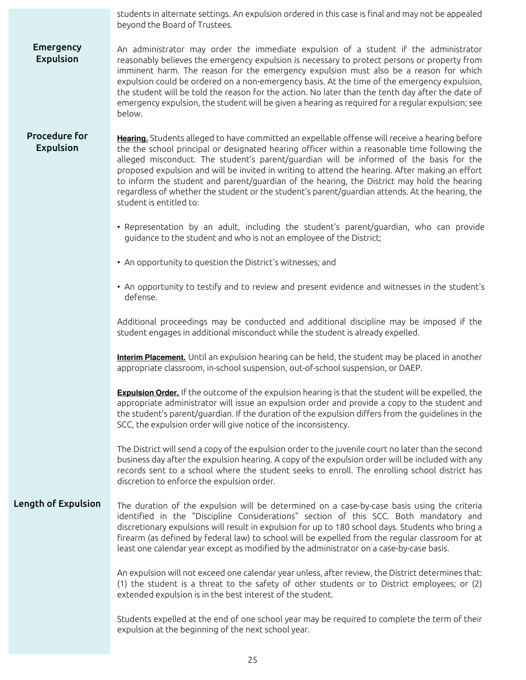students in alternate settings. An expulsion ordered in this case is final and may not be appealed beyond the Board of Trustees. **Emergency** Expulsion An administrator may order the immediate expulsion of a student if the administrator reasonably believes the emergency expulsion is necessary to protect persons or property from imminent harm. The reason for the emergency expulsion must also be a reason for which expulsion could be ordered on a non-emergency basis. At the time of the emergency expulsion, the student will be told the reason for the action. No later than the tenth day after the date of emergency expulsion, the student will be given a hearing as required for a regular expulsion; see below. Procedure for Expulsion **Hearing.** Students alleged to have committed an expellable offense will receive a hearing before the the school principal or designated hearing officer within a reasonable time following the alleged misconduct. The student's parent/guardian will be informed of the basis for the proposed expulsion and will be invited in writing to attend the hearing. After making an effort to inform the student and parent/guardian of the hearing, the District may hold the hearing regardless of whether the student or the student's parent/guardian attends. At the hearing, the student is entitled to:

- Representation by an adult, including the student's parent/guardian, who can provide guidance to the student and who is not an employee of the District;
- An opportunity to question the District's witnesses; and
- An opportunity to testify and to review and present evidence and witnesses in the student's defense.

Additional proceedings may be conducted and additional discipline may be imposed if the student engages in additional misconduct while the student is already expelled.

**Interim Placement.** Until an expulsion hearing can be held, the student may be placed in another appropriate classroom, in-school suspension, out-of-school suspension, or DAEP.

**Expulsion Order.** If the outcome of the expulsion hearing is that the student will be expelled, the appropriate administrator will issue an expulsion order and provide a copy to the student and the student's parent/guardian. If the duration of the expulsion differs from the guidelines in the SCC, the expulsion order will give notice of the inconsistency.

The District will send a copy of the expulsion order to the juvenile court no later than the second business day after the expulsion hearing. A copy of the expulsion order will be included with any records sent to a school where the student seeks to enroll. The enrolling school district has discretion to enforce the expulsion order.

Length of Expulsion The duration of the expulsion will be determined on a case-by-case basis using the criteria identified in the "Discipline Considerations" section of this SCC. Both mandatory and discretionary expulsions will result in expulsion for up to 180 school days. Students who bring a firearm (as defined by federal law) to school will be expelled from the regular classroom for at least one calendar year except as modified by the administrator on a case-by-case basis.

> An expulsion will not exceed one calendar year unless, after review, the District determines that: (1) the student is a threat to the safety of other students or to District employees; or (2) extended expulsion is in the best interest of the student.

> Students expelled at the end of one school year may be required to complete the term of their expulsion at the beginning of the next school year.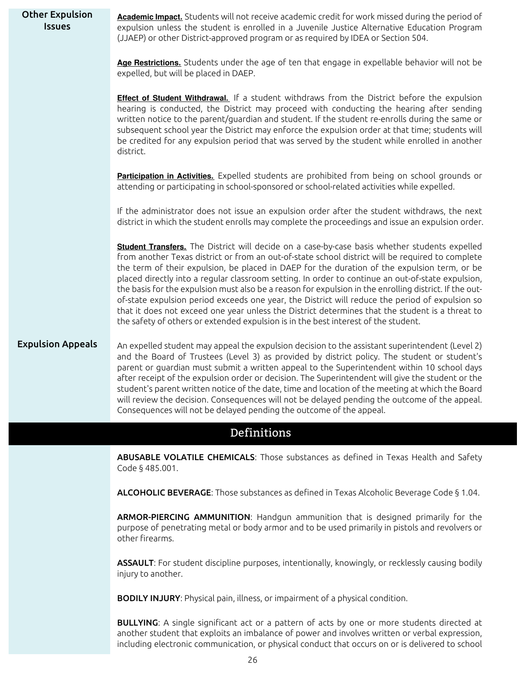| <b>Other Expulsion</b><br><b>Issues</b>                                              | Academic Impact. Students will not receive academic credit for work missed during the period of<br>expulsion unless the student is enrolled in a Juvenile Justice Alternative Education Program<br>(JJAEP) or other District-approved program or as required by IDEA or Section 504.                                                                                                                                                                                                                                                                                                                                                                                                                                                                                                                         |  |  |
|--------------------------------------------------------------------------------------|--------------------------------------------------------------------------------------------------------------------------------------------------------------------------------------------------------------------------------------------------------------------------------------------------------------------------------------------------------------------------------------------------------------------------------------------------------------------------------------------------------------------------------------------------------------------------------------------------------------------------------------------------------------------------------------------------------------------------------------------------------------------------------------------------------------|--|--|
|                                                                                      | Age Restrictions. Students under the age of ten that engage in expellable behavior will not be<br>expelled, but will be placed in DAEP.                                                                                                                                                                                                                                                                                                                                                                                                                                                                                                                                                                                                                                                                      |  |  |
|                                                                                      | Effect of Student Withdrawal. If a student withdraws from the District before the expulsion<br>hearing is conducted, the District may proceed with conducting the hearing after sending<br>written notice to the parent/guardian and student. If the student re-enrolls during the same or<br>subsequent school year the District may enforce the expulsion order at that time; students will<br>be credited for any expulsion period that was served by the student while enrolled in another<br>district.                                                                                                                                                                                                                                                                                                  |  |  |
|                                                                                      | Participation in Activities. Expelled students are prohibited from being on school grounds or<br>attending or participating in school-sponsored or school-related activities while expelled.                                                                                                                                                                                                                                                                                                                                                                                                                                                                                                                                                                                                                 |  |  |
|                                                                                      | If the administrator does not issue an expulsion order after the student withdraws, the next<br>district in which the student enrolls may complete the proceedings and issue an expulsion order.                                                                                                                                                                                                                                                                                                                                                                                                                                                                                                                                                                                                             |  |  |
|                                                                                      | Student Transfers. The District will decide on a case-by-case basis whether students expelled<br>from another Texas district or from an out-of-state school district will be required to complete<br>the term of their expulsion, be placed in DAEP for the duration of the expulsion term, or be<br>placed directly into a regular classroom setting. In order to continue an out-of-state expulsion,<br>the basis for the expulsion must also be a reason for expulsion in the enrolling district. If the out-<br>of-state expulsion period exceeds one year, the District will reduce the period of expulsion so<br>that it does not exceed one year unless the District determines that the student is a threat to<br>the safety of others or extended expulsion is in the best interest of the student. |  |  |
| <b>Expulsion Appeals</b>                                                             | An expelled student may appeal the expulsion decision to the assistant superintendent (Level 2)<br>and the Board of Trustees (Level 3) as provided by district policy. The student or student's<br>parent or guardian must submit a written appeal to the Superintendent within 10 school days<br>after receipt of the expulsion order or decision. The Superintendent will give the student or the<br>student's parent written notice of the date, time and location of the meeting at which the Board<br>will review the decision. Consequences will not be delayed pending the outcome of the appeal.<br>Consequences will not be delayed pending the outcome of the appeal.                                                                                                                              |  |  |
|                                                                                      | Definitions                                                                                                                                                                                                                                                                                                                                                                                                                                                                                                                                                                                                                                                                                                                                                                                                  |  |  |
|                                                                                      | ABUSABLE VOLATILE CHEMICALS: Those substances as defined in Texas Health and Safety<br>Code § 485.001.                                                                                                                                                                                                                                                                                                                                                                                                                                                                                                                                                                                                                                                                                                       |  |  |
|                                                                                      | ALCOHOLIC BEVERAGE: Those substances as defined in Texas Alcoholic Beverage Code § 1.04.                                                                                                                                                                                                                                                                                                                                                                                                                                                                                                                                                                                                                                                                                                                     |  |  |
|                                                                                      | ARMOR-PIERCING AMMUNITION: Handgun ammunition that is designed primarily for the<br>purpose of penetrating metal or body armor and to be used primarily in pistols and revolvers or<br>other firearms.                                                                                                                                                                                                                                                                                                                                                                                                                                                                                                                                                                                                       |  |  |
|                                                                                      | ASSAULT: For student discipline purposes, intentionally, knowingly, or recklessly causing bodily<br>injury to another.                                                                                                                                                                                                                                                                                                                                                                                                                                                                                                                                                                                                                                                                                       |  |  |
| <b>BODILY INJURY:</b> Physical pain, illness, or impairment of a physical condition. |                                                                                                                                                                                                                                                                                                                                                                                                                                                                                                                                                                                                                                                                                                                                                                                                              |  |  |
|                                                                                      | <b>BULLYING:</b> A single significant act or a pattern of acts by one or more students directed at<br>another student that exploits an imbalance of power and involves written or verbal expression,<br>including electronic communication, or physical conduct that occurs on or is delivered to school                                                                                                                                                                                                                                                                                                                                                                                                                                                                                                     |  |  |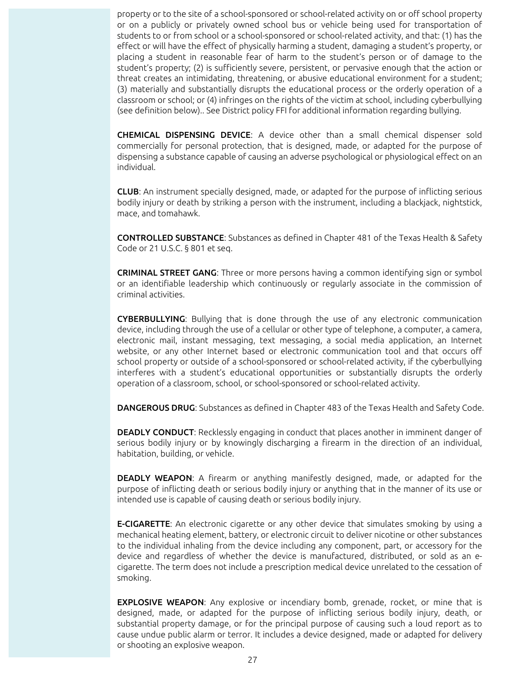property or to the site of a school-sponsored or school-related activity on or off school property or on a publicly or privately owned school bus or vehicle being used for transportation of students to or from school or a school-sponsored or school-related activity, and that: (1) has the effect or will have the effect of physically harming a student, damaging a student's property, or placing a student in reasonable fear of harm to the student's person or of damage to the student's property; (2) is sufficiently severe, persistent, or pervasive enough that the action or threat creates an intimidating, threatening, or abusive educational environment for a student; (3) materially and substantially disrupts the educational process or the orderly operation of a classroom or school; or (4) infringes on the rights of the victim at school, including cyberbullying (see definition below).. See District policy FFI for additional information regarding bullying.

CHEMICAL DISPENSING DEVICE: A device other than a small chemical dispenser sold commercially for personal protection, that is designed, made, or adapted for the purpose of dispensing a substance capable of causing an adverse psychological or physiological effect on an individual.

CLUB: An instrument specially designed, made, or adapted for the purpose of inflicting serious bodily injury or death by striking a person with the instrument, including a blackjack, nightstick, mace, and tomahawk.

CONTROLLED SUBSTANCE: Substances as defined in Chapter 481 of the Texas Health & Safety Code or 21 U.S.C. § 801 et seq.

CRIMINAL STREET GANG: Three or more persons having a common identifying sign or symbol or an identifiable leadership which continuously or regularly associate in the commission of criminal activities.

CYBERBULLYING: Bullying that is done through the use of any electronic communication device, including through the use of a cellular or other type of telephone, a computer, a camera, electronic mail, instant messaging, text messaging, a social media application, an Internet website, or any other Internet based or electronic communication tool and that occurs off school property or outside of a school-sponsored or school-related activity, if the cyberbullying interferes with a student's educational opportunities or substantially disrupts the orderly operation of a classroom, school, or school-sponsored or school-related activity.

DANGEROUS DRUG: Substances as defined in Chapter 483 of the Texas Health and Safety Code.

DEADLY CONDUCT: Recklessly engaging in conduct that places another in imminent danger of serious bodily injury or by knowingly discharging a firearm in the direction of an individual, habitation, building, or vehicle.

DEADLY WEAPON: A firearm or anything manifestly designed, made, or adapted for the purpose of inflicting death or serious bodily injury or anything that in the manner of its use or intended use is capable of causing death or serious bodily injury.

**E-CIGARETTE:** An electronic cigarette or any other device that simulates smoking by using a mechanical heating element, battery, or electronic circuit to deliver nicotine or other substances to the individual inhaling from the device including any component, part, or accessory for the device and regardless of whether the device is manufactured, distributed, or sold as an ecigarette. The term does not include a prescription medical device unrelated to the cessation of smoking.

**EXPLOSIVE WEAPON:** Any explosive or incendiary bomb, grenade, rocket, or mine that is designed, made, or adapted for the purpose of inflicting serious bodily injury, death, or substantial property damage, or for the principal purpose of causing such a loud report as to cause undue public alarm or terror. It includes a device designed, made or adapted for delivery or shooting an explosive weapon.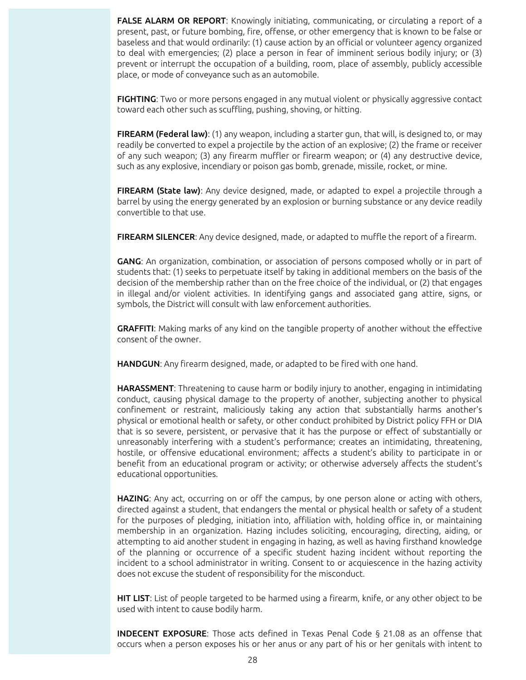FALSE ALARM OR REPORT: Knowingly initiating, communicating, or circulating a report of a present, past, or future bombing, fire, offense, or other emergency that is known to be false or baseless and that would ordinarily: (1) cause action by an official or volunteer agency organized to deal with emergencies; (2) place a person in fear of imminent serious bodily injury; or (3) prevent or interrupt the occupation of a building, room, place of assembly, publicly accessible place, or mode of conveyance such as an automobile.

FIGHTING: Two or more persons engaged in any mutual violent or physically aggressive contact toward each other such as scuffling, pushing, shoving, or hitting.

FIREARM (Federal law): (1) any weapon, including a starter gun, that will, is designed to, or may readily be converted to expel a projectile by the action of an explosive; (2) the frame or receiver of any such weapon; (3) any firearm muffler or firearm weapon; or (4) any destructive device, such as any explosive, incendiary or poison gas bomb, grenade, missile, rocket, or mine.

FIREARM (State law): Any device designed, made, or adapted to expel a projectile through a barrel by using the energy generated by an explosion or burning substance or any device readily convertible to that use.

FIREARM SILENCER: Any device designed, made, or adapted to muffle the report of a firearm.

GANG: An organization, combination, or association of persons composed wholly or in part of students that: (1) seeks to perpetuate itself by taking in additional members on the basis of the decision of the membership rather than on the free choice of the individual, or (2) that engages in illegal and/or violent activities. In identifying gangs and associated gang attire, signs, or symbols, the District will consult with law enforcement authorities.

GRAFFITI: Making marks of any kind on the tangible property of another without the effective consent of the owner.

HANDGUN: Any firearm designed, made, or adapted to be fired with one hand.

HARASSMENT: Threatening to cause harm or bodily injury to another, engaging in intimidating conduct, causing physical damage to the property of another, subjecting another to physical confinement or restraint, maliciously taking any action that substantially harms another's physical or emotional health or safety, or other conduct prohibited by District policy FFH or DIA that is so severe, persistent, or pervasive that it has the purpose or effect of substantially or unreasonably interfering with a student's performance; creates an intimidating, threatening, hostile, or offensive educational environment; affects a student's ability to participate in or benefit from an educational program or activity; or otherwise adversely affects the student's educational opportunities.

HAZING: Any act, occurring on or off the campus, by one person alone or acting with others, directed against a student, that endangers the mental or physical health or safety of a student for the purposes of pledging, initiation into, affiliation with, holding office in, or maintaining membership in an organization. Hazing includes soliciting, encouraging, directing, aiding, or attempting to aid another student in engaging in hazing, as well as having firsthand knowledge of the planning or occurrence of a specific student hazing incident without reporting the incident to a school administrator in writing. Consent to or acquiescence in the hazing activity does not excuse the student of responsibility for the misconduct.

HIT LIST: List of people targeted to be harmed using a firearm, knife, or any other object to be used with intent to cause bodily harm.

INDECENT EXPOSURE: Those acts defined in Texas Penal Code § 21.08 as an offense that occurs when a person exposes his or her anus or any part of his or her genitals with intent to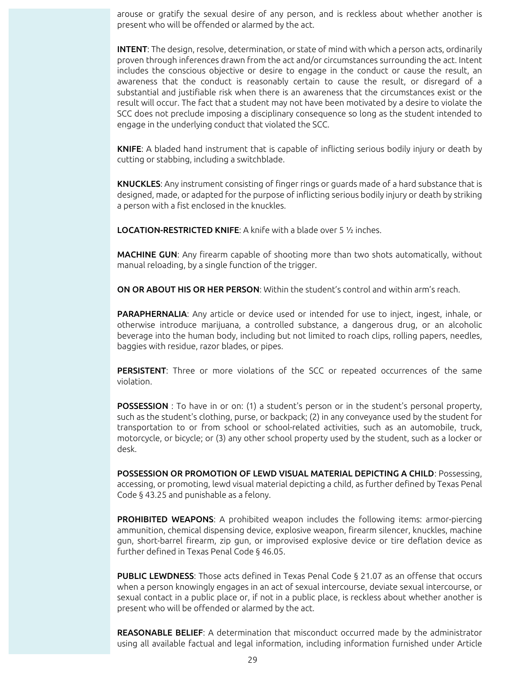arouse or gratify the sexual desire of any person, and is reckless about whether another is present who will be offended or alarmed by the act.

INTENT: The design, resolve, determination, or state of mind with which a person acts, ordinarily proven through inferences drawn from the act and/or circumstances surrounding the act. Intent includes the conscious objective or desire to engage in the conduct or cause the result, an awareness that the conduct is reasonably certain to cause the result, or disregard of a substantial and justifiable risk when there is an awareness that the circumstances exist or the result will occur. The fact that a student may not have been motivated by a desire to violate the SCC does not preclude imposing a disciplinary consequence so long as the student intended to engage in the underlying conduct that violated the SCC.

KNIFE: A bladed hand instrument that is capable of inflicting serious bodily injury or death by cutting or stabbing, including a switchblade.

KNUCKLES: Any instrument consisting of finger rings or guards made of a hard substance that is designed, made, or adapted for the purpose of inflicting serious bodily injury or death by striking a person with a fist enclosed in the knuckles.

LOCATION-RESTRICTED KNIFE: A knife with a blade over 5 ½ inches.

MACHINE GUN: Any firearm capable of shooting more than two shots automatically, without manual reloading, by a single function of the trigger.

ON OR ABOUT HIS OR HER PERSON: Within the student's control and within arm's reach.

PARAPHERNALIA: Any article or device used or intended for use to inject, ingest, inhale, or otherwise introduce marijuana, a controlled substance, a dangerous drug, or an alcoholic beverage into the human body, including but not limited to roach clips, rolling papers, needles, baggies with residue, razor blades, or pipes.

PERSISTENT: Three or more violations of the SCC or repeated occurrences of the same violation.

POSSESSION : To have in or on: (1) a student's person or in the student's personal property, such as the student's clothing, purse, or backpack; (2) in any conveyance used by the student for transportation to or from school or school-related activities, such as an automobile, truck, motorcycle, or bicycle; or (3) any other school property used by the student, such as a locker or desk.

POSSESSION OR PROMOTION OF LEWD VISUAL MATERIAL DEPICTING A CHILD: Possessing, accessing, or promoting, lewd visual material depicting a child, as further defined by Texas Penal Code § 43.25 and punishable as a felony.

PROHIBITED WEAPONS: A prohibited weapon includes the following items: armor-piercing ammunition, chemical dispensing device, explosive weapon, firearm silencer, knuckles, machine gun, short-barrel firearm, zip gun, or improvised explosive device or tire deflation device as further defined in Texas Penal Code § 46.05.

PUBLIC LEWDNESS: Those acts defined in Texas Penal Code § 21.07 as an offense that occurs when a person knowingly engages in an act of sexual intercourse, deviate sexual intercourse, or sexual contact in a public place or, if not in a public place, is reckless about whether another is present who will be offended or alarmed by the act.

REASONABLE BELIEF: A determination that misconduct occurred made by the administrator using all available factual and legal information, including information furnished under Article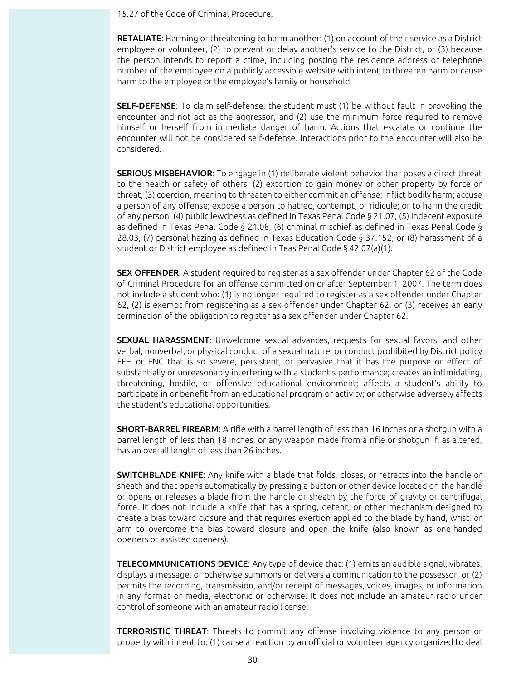15.27 of the Code of Criminal Procedure.

RETALIATE: Harming or threatening to harm another: (1) on account of their service as a District employee or volunteer, (2) to prevent or delay another's service to the District, or (3) because the person intends to report a crime, including posting the residence address or telephone number of the employee on a publicly accessible website with intent to threaten harm or cause harm to the employee or the employee's family or household.

SELF-DEFENSE: To claim self-defense, the student must (1) be without fault in provoking the encounter and not act as the aggressor, and (2) use the minimum force required to remove himself or herself from immediate danger of harm. Actions that escalate or continue the encounter will not be considered self-defense. Interactions prior to the encounter will also be considered.

SERIOUS MISBEHAVIOR: To engage in (1) deliberate violent behavior that poses a direct threat to the health or safety of others, (2) extortion to gain money or other property by force or threat, (3) coercion, meaning to threaten to either commit an offense; inflict bodily harm; accuse a person of any offense; expose a person to hatred, contempt, or ridicule; or to harm the credit of any person, (4) public lewdness as defined in Texas Penal Code § 21.07, (5) indecent exposure as defined in Texas Penal Code § 21.08, (6) criminal mischief as defined in Texas Penal Code § 28.03, (7) personal hazing as defined in Texas Education Code § 37.152, or (8) harassment of a student or District employee as defined in Teas Penal Code § 42.07(a)(1).

SEX OFFENDER: A student required to register as a sex offender under Chapter 62 of the Code of Criminal Procedure for an offense committed on or after September 1, 2007. The term does not include a student who: (1) is no longer required to register as a sex offender under Chapter 62, (2) is exempt from registering as a sex offender under Chapter 62, or (3) receives an early termination of the obligation to register as a sex offender under Chapter 62.

SEXUAL HARASSMENT: Unwelcome sexual advances, requests for sexual favors, and other verbal, nonverbal, or physical conduct of a sexual nature, or conduct prohibited by District policy FFH or FNC that is so severe, persistent, or pervasive that it has the purpose or effect of substantially or unreasonably interfering with a student's performance; creates an intimidating, threatening, hostile, or offensive educational environment; affects a student's ability to participate in or benefit from an educational program or activity; or otherwise adversely affects the student's educational opportunities.

SHORT-BARREL FIREARM: A rifle with a barrel length of less than 16 inches or a shotgun with a barrel length of less than 18 inches, or any weapon made from a rifle or shotgun if, as altered, has an overall length of less than 26 inches.

SWITCHBLADE KNIFE: Any knife with a blade that folds, closes, or retracts into the handle or sheath and that opens automatically by pressing a button or other device located on the handle or opens or releases a blade from the handle or sheath by the force of gravity or centrifugal force. It does not include a knife that has a spring, detent, or other mechanism designed to create a bias toward closure and that requires exertion applied to the blade by hand, wrist, or arm to overcome the bias toward closure and open the knife (also known as one-handed openers or assisted openers).

TELECOMMUNICATIONS DEVICE: Any type of device that: (1) emits an audible signal, vibrates, displays a message, or otherwise summons or delivers a communication to the possessor, or (2) permits the recording, transmission, and/or receipt of messages, voices, images, or information in any format or media, electronic or otherwise. It does not include an amateur radio under control of someone with an amateur radio license.

**TERRORISTIC THREAT:** Threats to commit any offense involving violence to any person or property with intent to: (1) cause a reaction by an official or volunteer agency organized to deal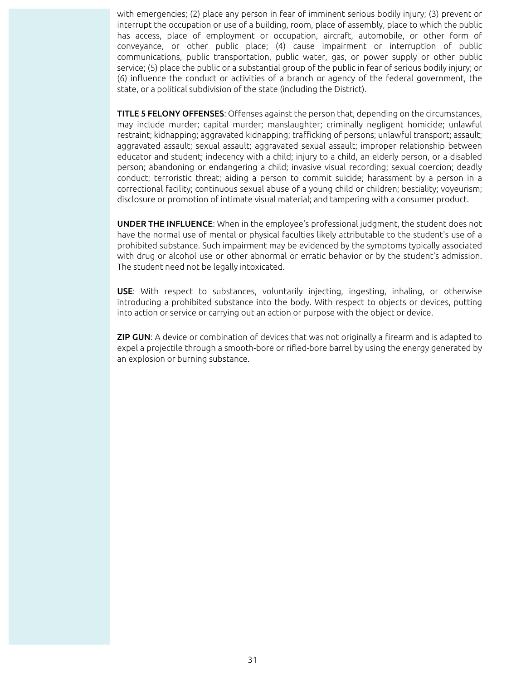with emergencies; (2) place any person in fear of imminent serious bodily injury; (3) prevent or interrupt the occupation or use of a building, room, place of assembly, place to which the public has access, place of employment or occupation, aircraft, automobile, or other form of conveyance, or other public place; (4) cause impairment or interruption of public communications, public transportation, public water, gas, or power supply or other public service; (5) place the public or a substantial group of the public in fear of serious bodily injury; or (6) influence the conduct or activities of a branch or agency of the federal government, the state, or a political subdivision of the state (including the District).

TITLE 5 FELONY OFFENSES: Offenses against the person that, depending on the circumstances, may include murder; capital murder; manslaughter; criminally negligent homicide; unlawful restraint; kidnapping; aggravated kidnapping; trafficking of persons; unlawful transport; assault; aggravated assault; sexual assault; aggravated sexual assault; improper relationship between educator and student; indecency with a child; injury to a child, an elderly person, or a disabled person; abandoning or endangering a child; invasive visual recording; sexual coercion; deadly conduct; terroristic threat; aiding a person to commit suicide; harassment by a person in a correctional facility; continuous sexual abuse of a young child or children; bestiality; voyeurism; disclosure or promotion of intimate visual material; and tampering with a consumer product.

UNDER THE INFLUENCE: When in the employee's professional judgment, the student does not have the normal use of mental or physical faculties likely attributable to the student's use of a prohibited substance. Such impairment may be evidenced by the symptoms typically associated with drug or alcohol use or other abnormal or erratic behavior or by the student's admission. The student need not be legally intoxicated.

USE: With respect to substances, voluntarily injecting, ingesting, inhaling, or otherwise introducing a prohibited substance into the body. With respect to objects or devices, putting into action or service or carrying out an action or purpose with the object or device.

**ZIP GUN:** A device or combination of devices that was not originally a firearm and is adapted to expel a projectile through a smooth-bore or rifled-bore barrel by using the energy generated by an explosion or burning substance.